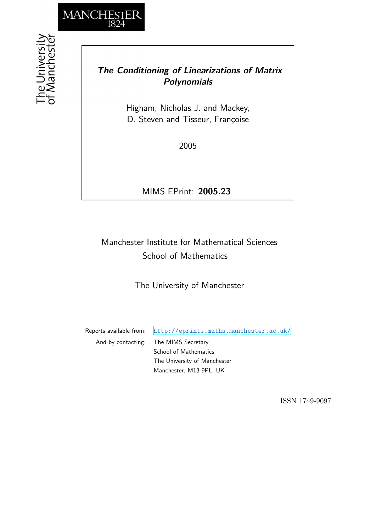

## *The Conditioning of Linearizations of Matrix Polynomials*

Higham, Nicholas J. and Mackey, D. Steven and Tisseur, Françoise

2005

MIMS EPrint: **2005.23**

# Manchester Institute for Mathematical Sciences School of Mathematics

The University of Manchester

Reports available from: <http://eprints.maths.manchester.ac.uk/> And by contacting: The MIMS Secretary School of Mathematics

The University of Manchester Manchester, M13 9PL, UK

ISSN 1749-9097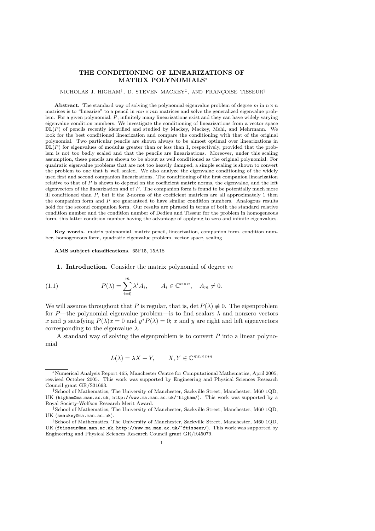## THE CONDITIONING OF LINEARIZATIONS OF MATRIX POLYNOMIALS<sup>∗</sup>

#### NICHOLAS J. HIGHAM<sup>†</sup>, D. STEVEN MACKEY<sup>‡</sup>, AND FRANÇOISE TISSEUR<sup>§</sup>

Abstract. The standard way of solving the polynomial eigenvalue problem of degree m in  $n \times n$ matrices is to "linearize" to a pencil in  $mn \times mn$  matrices and solve the generalized eigenvalue problem. For a given polynomial,  $\hat{P}$ , infinitely many linearizations exist and they can have widely varying eigenvalue condition numbers. We investigate the conditioning of linearizations from a vector space  $\mathbb{DL}(P)$  of pencils recently identified and studied by Mackey, Mackey, Mehl, and Mehrmann. We look for the best conditioned linearization and compare the conditioning with that of the original polynomial. Two particular pencils are shown always to be almost optimal over linearizations in  $\mathbb{DL}(P)$  for eigenvalues of modulus greater than or less than 1, respectively, provided that the problem is not too badly scaled and that the pencils are linearizations. Moreover, under this scaling assumption, these pencils are shown to be about as well conditioned as the original polynomial. For quadratic eigenvalue problems that are not too heavily damped, a simple scaling is shown to convert the problem to one that is well scaled. We also analyze the eigenvalue conditioning of the widely used first and second companion linearizations. The conditioning of the first companion linearization relative to that of  $P$  is shown to depend on the coefficient matrix norms, the eigenvalue, and the left eigenvectors of the linearization and of  $P$ . The companion form is found to be potentially much more ill conditioned than  $P$ , but if the 2-norms of the coefficient matrices are all approximately 1 then the companion form and  $P$  are guaranteed to have similar condition numbers. Analogous results hold for the second companion form. Our results are phrased in terms of both the standard relative condition number and the condition number of Dedieu and Tisseur for the problem in homogeneous form, this latter condition number having the advantage of applying to zero and infinite eigenvalues.

Key words. matrix polynomial, matrix pencil, linearization, companion form, condition number, homogeneous form, quadratic eigenvalue problem, vector space, scaling

AMS subject classifications. 65F15, 15A18

1. Introduction. Consider the matrix polynomial of degree  $m$ 

(1.1) 
$$
P(\lambda) = \sum_{i=0}^{m} \lambda^{i} A_{i}, \qquad A_{i} \in \mathbb{C}^{n \times n}, \quad A_{m} \neq 0.
$$

We will assume throughout that P is regular, that is, det  $P(\lambda) \neq 0$ . The eigenproblem for P—the polynomial eigenvalue problem—is to find scalars  $\lambda$  and nonzero vectors x and y satisfying  $P(\lambda)x = 0$  and  $y^*P(\lambda) = 0$ ; x and y are right and left eigenvectors corresponding to the eigenvalue  $\lambda$ .

A standard way of solving the eigenproblem is to convert P into a linear polynomial

$$
L(\lambda) = \lambda X + Y, \qquad X, Y \in \mathbb{C}^{mn \times mn}
$$

<sup>∗</sup>Numerical Analysis Report 465, Manchester Centre for Computational Mathematics, April 2005; resvised October 2005. This work was supported by Engineering and Physical Sciences Research Council grant GR/S31693.

<sup>†</sup>School of Mathematics, The University of Manchester, Sackville Street, Manchester, M60 1QD, UK (higham@ma.man.ac.uk, http://www.ma.man.ac.uk/~higham/). This work was supported by a Royal Society-Wolfson Research Merit Award.

<sup>‡</sup>School of Mathematics, The University of Manchester, Sackville Street, Manchester, M60 1QD, UK (smackey@ma.man.ac.uk).

<sup>§</sup>School of Mathematics, The University of Manchester, Sackville Street, Manchester, M60 1QD, UK (ftisseur@ma.man.ac.uk, http://www.ma.man.ac.uk/~ftisseur/). This work was supported by Engineering and Physical Sciences Research Council grant GR/R45079.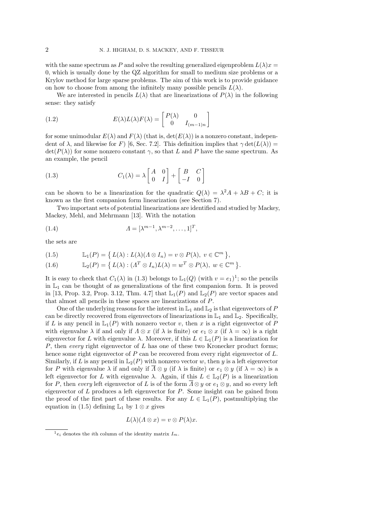with the same spectrum as P and solve the resulting generalized eigenproblem  $L(\lambda)x =$ 0, which is usually done by the QZ algorithm for small to medium size problems or a Krylov method for large sparse problems. The aim of this work is to provide guidance on how to choose from among the infinitely many possible pencils  $L(\lambda)$ .

We are interested in pencils  $L(\lambda)$  that are linearizations of  $P(\lambda)$  in the following sense: they satisfy

(1.2) 
$$
E(\lambda)L(\lambda)F(\lambda) = \begin{bmatrix} P(\lambda) & 0 \\ 0 & I_{(m-1)n} \end{bmatrix}
$$

for some unimodular  $E(\lambda)$  and  $F(\lambda)$  (that is,  $\det(E(\lambda))$  is a nonzero constant, independent of  $\lambda$ , and likewise for F) [6, Sec. 7.2]. This definition implies that  $\gamma \det(L(\lambda)) =$  $\det(P(\lambda))$  for some nonzero constant  $\gamma$ , so that L and P have the same spectrum. As an example, the pencil

(1.3) 
$$
C_1(\lambda) = \lambda \begin{bmatrix} A & 0 \\ 0 & I \end{bmatrix} + \begin{bmatrix} B & C \\ -I & 0 \end{bmatrix}
$$

can be shown to be a linearization for the quadratic  $Q(\lambda) = \lambda^2 A + \lambda B + C$ ; it is known as the first companion form linearization (see Section 7).

Two important sets of potential linearizations are identified and studied by Mackey, Mackey, Mehl, and Mehrmann [13]. With the notation

(1.4) 
$$
\Lambda = [\lambda^{m-1}, \lambda^{m-2}, \dots, 1]^T,
$$

the sets are

(1.5) 
$$
\mathbb{L}_1(P) = \{ L(\lambda) : L(\lambda)(\Lambda \otimes I_n) = v \otimes P(\lambda), v \in \mathbb{C}^m \},
$$

(1.6) 
$$
\mathbb{L}_2(P) = \{ L(\lambda) : (A^T \otimes I_n)L(\lambda) = w^T \otimes P(\lambda), w \in \mathbb{C}^m \}.
$$

It is easy to check that  $C_1(\lambda)$  in (1.3) belongs to  $\mathbb{L}_1(Q)$  (with  $v = e_1$ )<sup>1</sup>; so the pencils in  $L_1$  can be thought of as generalizations of the first companion form. It is proved in [13, Prop. 3.2, Prop. 3.12, Thm. 4.7] that  $\mathbb{L}_1(P)$  and  $\mathbb{L}_2(P)$  are vector spaces and that almost all pencils in these spaces are linearizations of P.

One of the underlying reasons for the interest in  $\mathbb{L}_1$  and  $\mathbb{L}_2$  is that eigenvectors of P can be directly recovered from eigenvectors of linearizations in  $\mathbb{L}_1$  and  $\mathbb{L}_2$ . Specifically, if L is any pencil in  $\mathbb{L}_1(P)$  with nonzero vector v, then x is a right eigenvector of P with eigenvalue  $\lambda$  if and only if  $\Lambda \otimes x$  (if  $\lambda$  is finite) or  $e_1 \otimes x$  (if  $\lambda = \infty$ ) is a right eigenvector for L with eigenvalue  $\lambda$ . Moreover, if this  $L \in L_1(P)$  is a linearization for P, then every right eigenvector of  $L$  has one of these two Kronecker product forms; hence some right eigenvector of  $P$  can be recovered from every right eigenvector of  $L$ . Similarly, if L is any pencil in  $\mathbb{L}_2(P)$  with nonzero vector w, then y is a left eigenvector for P with eigenvalue  $\lambda$  if and only if  $\overline{\Lambda} \otimes y$  (if  $\lambda$  is finite) or  $e_1 \otimes y$  (if  $\lambda = \infty$ ) is a left eigenvector for L with eigenvalue  $\lambda$ . Again, if this  $L \in \mathbb{L}_2(P)$  is a linearization for P, then every left eigenvector of L is of the form  $\overline{\Lambda} \otimes \gamma$  or  $e_1 \otimes \gamma$ , and so every left eigenvector of L produces a left eigenvector for P. Some insight can be gained from the proof of the first part of these results. For any  $L \in L_1(P)$ , postmultiplying the equation in (1.5) defining  $\mathbb{L}_1$  by  $1 \otimes x$  gives

$$
L(\lambda)(\Lambda \otimes x) = v \otimes P(\lambda)x.
$$

 $^{1}e_{i}$  denotes the *i*th column of the identity matrix  $I_{m}$ .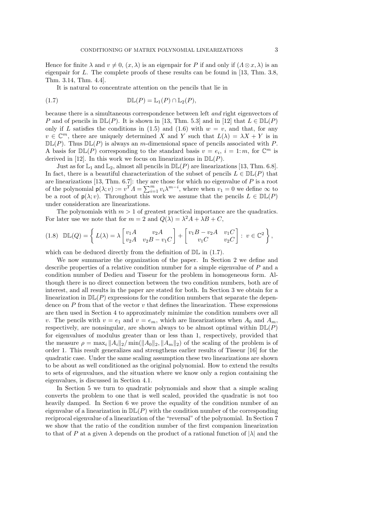Hence for finite  $\lambda$  and  $v \neq 0$ ,  $(x, \lambda)$  is an eigenpair for P if and only if  $(\Lambda \otimes x, \lambda)$  is an eigenpair for L. The complete proofs of these results can be found in [13, Thm. 3.8, Thm. 3.14, Thm. 4.4].

It is natural to concentrate attention on the pencils that lie in

(1.7) 
$$
\mathbb{DL}(P) = \mathbb{L}_1(P) \cap \mathbb{L}_2(P),
$$

because there is a simultaneous correspondence between left and right eigenvectors of P and of pencils in  $D\mathbb{L}(P)$ . It is shown in [13, Thm. 5.3] and in [12] that  $L \in D\mathbb{L}(P)$ only if L satisfies the conditions in  $(1.5)$  and  $(1.6)$  with  $w = v$ , and that, for any  $v \in \mathbb{C}^m$ , there are uniquely determined X and Y such that  $L(\lambda) = \lambda X + Y$  is in  $\mathbb{DL}(P)$ . Thus  $\mathbb{DL}(P)$  is always an m-dimensional space of pencils associated with P. A basis for  $D\mathbb{L}(P)$  corresponding to the standard basis  $v = e_i$ ,  $i = 1$ : m, for  $\mathbb{C}^m$  is derived in [12]. In this work we focus on linearizations in  $\mathbb{DL}(P)$ .

Just as for  $\mathbb{L}_1$  and  $\mathbb{L}_2$ , almost all pencils in  $\mathbb{DL}(P)$  are linearizations [13, Thm. 6.8]. In fact, there is a beautiful characterization of the subset of pencils  $L \in \mathbb{DL}(P)$  that are linearizations [13, Thm. 6.7]: they are those for which no eigenvalue of P is a root of the polynomial  $p(\lambda; v) := v^T A = \sum_{i=1}^m v_i \lambda^{m-i}$ , where when  $v_1 = 0$  we define  $\infty$  to be a root of  $p(\lambda; v)$ . Throughout this work we assume that the pencils  $L \in \mathbb{DL}(P)$ under consideration are linearizations.

The polynomials with  $m > 1$  of greatest practical importance are the quadratics. For later use we note that for  $m = 2$  and  $Q(\lambda) = \lambda^2 A + \lambda B + C$ ,

$$
(1.8)\quad \mathbb{DL}(Q) = \left\{ L(\lambda) = \lambda \begin{bmatrix} v_1 A & v_2 A \\ v_2 A & v_2 B - v_1 C \end{bmatrix} + \begin{bmatrix} v_1 B - v_2 A & v_1 C \\ v_1 C & v_2 C \end{bmatrix} : v \in \mathbb{C}^2 \right\},
$$

which can be deduced directly from the definition of  $\mathbb{DL}$  in (1.7).

We now summarize the organization of the paper. In Section 2 we define and describe properties of a relative condition number for a simple eigenvalue of P and a condition number of Dedieu and Tisseur for the problem in homogeneous form. Although there is no direct connection between the two condition numbers, both are of interest, and all results in the paper are stated for both. In Section 3 we obtain for a linearization in  $D\mathbb{L}(P)$  expressions for the condition numbers that separate the dependence on  $P$  from that of the vector  $v$  that defines the linearization. These expressions are then used in Section 4 to approximately minimize the condition numbers over all v. The pencils with  $v = e_1$  and  $v = e_m$ , which are linearizations when  $A_0$  and  $A_m$ , respectively, are nonsingular, are shown always to be almost optimal within  $D\mathbb{L}(P)$ for eigenvalues of modulus greater than or less than 1, respectively, provided that the measure  $\rho = \max_i ||A_i||_2 / \min(||A_0||_2, ||A_m||_2)$  of the scaling of the problem is of order 1. This result generalizes and strengthens earlier results of Tisseur [16] for the quadratic case. Under the same scaling assumption these two linearizations are shown to be about as well conditioned as the original polynomial. How to extend the results to sets of eigenvalues, and the situation where we know only a region containing the eigenvalues, is discussed in Section 4.1.

In Section 5 we turn to quadratic polynomials and show that a simple scaling converts the problem to one that is well scaled, provided the quadratic is not too heavily damped. In Section 6 we prove the equality of the condition number of an eigenvalue of a linearization in  $\mathbb{DL}(P)$  with the condition number of the corresponding reciprocal eigenvalue of a linearization of the "reversal" of the polynomial. In Section 7 we show that the ratio of the condition number of the first companion linearization to that of P at a given  $\lambda$  depends on the product of a rational function of  $|\lambda|$  and the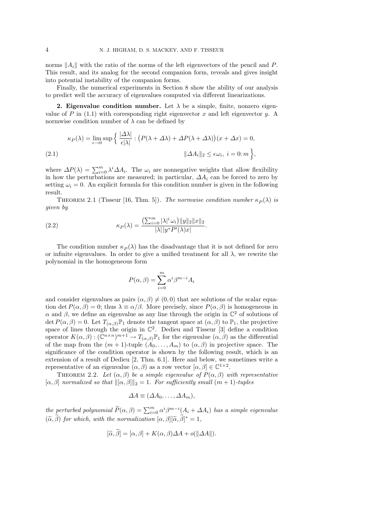norms  $||A_i||$  with the ratio of the norms of the left eigenvectors of the pencil and P. This result, and its analog for the second companion form, reveals and gives insight into potential instability of the companion forms.

Finally, the numerical experiments in Section 8 show the ability of our analysis to predict well the accuracy of eigenvalues computed via different linearizations.

2. Eigenvalue condition number. Let  $\lambda$  be a simple, finite, nonzero eigenvalue of P in  $(1.1)$  with corresponding right eigenvector x and left eigenvector y. A normwise condition number of  $\lambda$  can be defined by

$$
\kappa_P(\lambda) = \lim_{\epsilon \to 0} \sup \left\{ \frac{|\Delta \lambda|}{\epsilon |\lambda|} : \left( P(\lambda + \Delta \lambda) + \Delta P(\lambda + \Delta \lambda) \right) (x + \Delta x) = 0, \right\}
$$
\n
$$
(2.1)
$$
\n
$$
\|\Delta A_i\|_2 \le \epsilon \omega_i, \ i = 0; m \right\},
$$

where  $\Delta P(\lambda) = \sum_{i=0}^{m} \lambda^i \Delta A_i$ . The  $\omega_i$  are nonnegative weights that allow flexibility in how the perturbations are measured; in particular,  $\Delta A_i$  can be forced to zero by setting  $\omega_i = 0$ . An explicit formula for this condition number is given in the following result.

THEOREM 2.1 (Tisseur [16, Thm. 5]). The normwise condition number  $\kappa_P(\lambda)$  is given by

(2.2) 
$$
\kappa_P(\lambda) = \frac{\left(\sum_{i=0}^m |\lambda|^i \omega_i\right) ||y||_2 ||x||_2}{|\lambda|| y^* P'(\lambda)x|}.
$$

The condition number  $\kappa_P(\lambda)$  has the disadvantage that it is not defined for zero or infinite eigenvalues. In order to give a unified treatment for all  $\lambda$ , we rewrite the polynomial in the homogeneous form

$$
P(\alpha, \beta) = \sum_{i=0}^{m} \alpha^{i} \beta^{m-i} A_{i}
$$

and consider eigenvalues as pairs  $(\alpha, \beta) \neq (0, 0)$  that are solutions of the scalar equation det  $P(\alpha, \beta) = 0$ ; thus  $\lambda \equiv \alpha/\beta$ . More precisely, since  $P(\alpha, \beta)$  is homogeneous in  $\alpha$  and  $\beta$ , we define an eigenvalue as any line through the origin in  $\mathbb{C}^2$  of solutions of det  $P(\alpha, \beta) = 0$ . Let  $T_{(\alpha, \beta)}\mathbb{P}_1$  denote the tangent space at  $(\alpha, \beta)$  to  $\mathbb{P}_1$ , the projective space of lines through the origin in  $\mathbb{C}^2$ . Dedieu and Tisseur [3] define a condition operator  $K(\alpha, \beta) : (\mathbb{C}^{n \times n})^{m+1} \to T_{(\alpha, \beta)}\mathbb{P}_1$  for the eigenvalue  $(\alpha, \beta)$  as the differential of the map from the  $(m + 1)$ -tuple  $(A_0, \ldots, A_m)$  to  $(\alpha, \beta)$  in projective space. The significance of the condition operator is shown by the following result, which is an extension of a result of Dedieu [2, Thm. 6.1]. Here and below, we sometimes write a representative of an eigenvalue  $(\alpha, \beta)$  as a row vector  $[\alpha, \beta] \in \mathbb{C}^{1 \times 2}$ .

THEOREM 2.2. Let  $(\alpha, \beta)$  be a simple eigenvalue of  $P(\alpha, \beta)$  with representative  $[\alpha, \beta]$  normalized so that  $\|[\alpha, \beta]\|_2 = 1$ . For sufficiently small  $(m + 1)$ -tuples

$$
\Delta A \equiv (\Delta A_0, \ldots, \Delta A_m),
$$

the perturbed polynomial  $\widetilde{P}(\alpha, \beta) = \sum_{i=0}^{m} \alpha^{i} \beta^{m-i} (A_i + \Delta A_i)$  has a simple eigenvalue  $(\widetilde{\alpha}, \widetilde{\beta})$  for which, with the normalization  $[\alpha, \beta][\widetilde{\alpha}, \widetilde{\beta}]^* = 1$ ,

$$
[\widetilde{\alpha}, \widetilde{\beta}] = [\alpha, \beta] + K(\alpha, \beta) \Delta A + o(||\Delta A||).
$$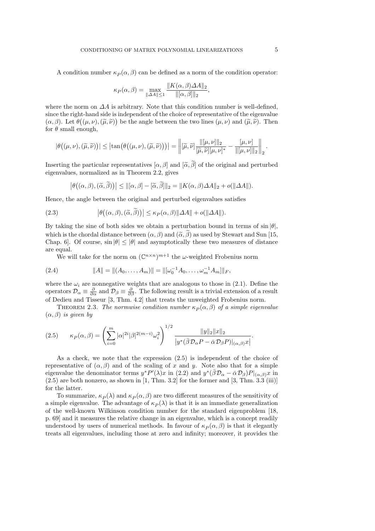A condition number  $\kappa_P(\alpha, \beta)$  can be defined as a norm of the condition operator:

$$
\kappa_P(\alpha, \beta) = \max_{\|\Delta A\| \le 1} \frac{\|K(\alpha, \beta)\Delta A\|_2}{\|[\alpha, \beta]\|_2},
$$

where the norm on  $\Delta A$  is arbitrary. Note that this condition number is well-defined, since the right-hand side is independent of the choice of representative of the eigenvalue  $(\alpha, \beta)$ . Let  $\theta((\mu, \nu), (\tilde{\mu}, \tilde{\nu}))$  be the angle between the two lines  $(\mu, \nu)$  and  $(\tilde{\mu}, \tilde{\nu})$ . Then for  $\theta$  small enough,

$$
|\theta((\mu,\nu),(\widetilde{\mu},\widetilde{\nu}))| \leq |\tan(\theta((\mu,\nu),(\widetilde{\mu},\widetilde{\nu})))| = \left\| [\widetilde{\mu},\widetilde{\nu}] \frac{\| [\mu,\nu] \|_2}{[\widetilde{\mu},\widetilde{\nu}][\mu,\nu]^*} - \frac{[\mu,\nu]}{\| [\mu,\nu] \|_2} \right\|_2.
$$

Inserting the particular representatives  $[\alpha, \beta]$  and  $[\tilde{\alpha}, \tilde{\beta}]$  of the original and perturbed eigenvalues, normalized as in Theorem 2.2, gives

$$
\left|\theta((\alpha,\beta),(\widetilde{\alpha},\widetilde{\beta}))\right| \leq ||[\alpha,\beta]-[\widetilde{\alpha},\widetilde{\beta}]||_2 = ||K(\alpha,\beta)\Delta A||_2 + o(||\Delta A||).
$$

Hence, the angle between the original and perturbed eigenvalues satisfies

(2.3) 
$$
\left|\theta((\alpha,\beta),(\widetilde{\alpha},\widetilde{\beta}))\right| \leq \kappa_P(\alpha,\beta)\|\Delta A\| + o(\|\Delta A\|).
$$

By taking the sine of both sides we obtain a perturbation bound in terms of  $\sin \theta$ . which is the chordal distance between  $(\alpha, \beta)$  and  $(\tilde{\alpha}, \tilde{\beta})$  as used by Stewart and Sun [15, Chap. 6]. Of course,  $\sin |\theta| \le |\theta|$  and asymptotically these two measures of distance are equal.

We will take for the norm on  $(\mathbb{C}^{n \times n})^{m+1}$  the  $\omega$ -weighted Frobenius norm

(2.4) 
$$
||A|| = ||(A_0, \dots, A_m)|| = ||[\omega_0^{-1} A_0, \dots, \omega_m^{-1} A_m]||_F,
$$

where the  $\omega_i$  are nonnegative weights that are analogous to those in (2.1). Define the operators  $\mathcal{D}_{\alpha} \equiv \frac{\partial}{\partial \alpha}$  and  $\mathcal{D}_{\beta} \equiv \frac{\partial}{\partial \beta}$ . The following result is a trivial extension of a result of Dedieu and Tisseur [3, Thm. 4.2] that treats the unweighted Frobenius norm.

THEOREM 2.3. The normwise condition number  $\kappa_P(\alpha, \beta)$  of a simple eigenvalue  $(\alpha, \beta)$  is given by

$$
(2.5) \qquad \kappa_P(\alpha,\beta) = \left(\sum_{i=0}^m |\alpha|^{2i} |\beta|^{2(m-i)} \omega_i^2\right)^{1/2} \frac{\|y\|_2 \|x\|_2}{|y^*(\bar{\beta} \mathcal{D}_\alpha P - \bar{\alpha} \mathcal{D}_\beta P)|_{(\alpha,\beta)} x|}.
$$

As a check, we note that the expression (2.5) is independent of the choice of representative of  $(\alpha, \beta)$  and of the scaling of x and y. Note also that for a simple eigenvalue the denominator terms  $y^*P'(\lambda)x$  in (2.2) and  $y^*(\bar{\beta}\mathcal{D}_{\alpha}-\bar{\alpha}\mathcal{D}_{\beta})P|_{(\alpha,\beta)}x$  in  $(2.5)$  are both nonzero, as shown in [1, Thm. 3.2] for the former and [3, Thm. 3.3 (iii)] for the latter.

To summarize,  $\kappa_P(\lambda)$  and  $\kappa_P(\alpha, \beta)$  are two different measures of the sensitivity of a simple eigenvalue. The advantage of  $\kappa_P(\lambda)$  is that it is an immediate generalization of the well-known Wilkinson condition number for the standard eigenproblem [18, p. 69] and it measures the relative change in an eigenvalue, which is a concept readily understood by users of numerical methods. In favour of  $\kappa_P(\alpha, \beta)$  is that it elegantly treats all eigenvalues, including those at zero and infinity; moreover, it provides the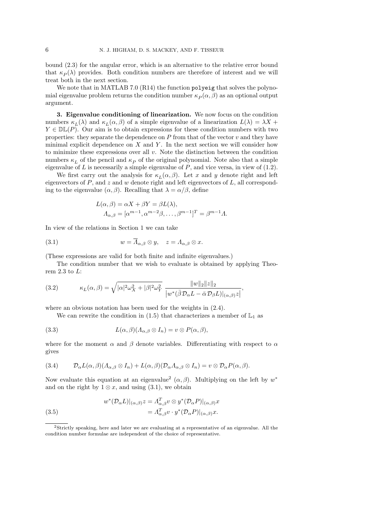bound (2.3) for the angular error, which is an alternative to the relative error bound that  $\kappa_P(\lambda)$  provides. Both condition numbers are therefore of interest and we will treat both in the next section.

We note that in MATLAB 7.0 (R14) the function polyeig that solves the polynomial eigenvalue problem returns the condition number  $\kappa_P(\alpha, \beta)$  as an optional output argument.

3. Eigenvalue conditioning of linearization. We now focus on the condition numbers  $\kappa_L(\lambda)$  and  $\kappa_L(\alpha, \beta)$  of a simple eigenvalue of a linearization  $L(\lambda) = \lambda X +$  $Y \in \mathbb{DL}(P)$ . Our aim is to obtain expressions for these condition numbers with two properties: they separate the dependence on  $P$  from that of the vector  $v$  and they have minimal explicit dependence on  $X$  and  $Y$ . In the next section we will consider how to minimize these expressions over all  $v$ . Note the distinction between the condition numbers  $\kappa_L$  of the pencil and  $\kappa_P$  of the original polynomial. Note also that a simple eigenvalue of  $L$  is necessarily a simple eigenvalue of  $P$ , and vice versa, in view of  $(1.2)$ .

We first carry out the analysis for  $\kappa_L(\alpha, \beta)$ . Let x and y denote right and left eigenvectors of  $P$ , and  $z$  and  $w$  denote right and left eigenvectors of  $L$ , all corresponding to the eigenvalue  $(\alpha, \beta)$ . Recalling that  $\lambda = \alpha/\beta$ , define

$$
L(\alpha, \beta) = \alpha X + \beta Y = \beta L(\lambda),
$$
  
\n
$$
\Lambda_{\alpha, \beta} = [\alpha^{m-1}, \alpha^{m-2}\beta, \dots, \beta^{m-1}]^T = \beta^{m-1}\Lambda.
$$

In view of the relations in Section 1 we can take

(3.1) 
$$
w = \overline{\Lambda}_{\alpha,\beta} \otimes y, \quad z = \Lambda_{\alpha,\beta} \otimes x.
$$

(These expressions are valid for both finite and infinite eigenvalues.)

The condition number that we wish to evaluate is obtained by applying Theorem  $2.3$  to  $L$ :

(3.2) 
$$
\kappa_L(\alpha,\beta) = \sqrt{|\alpha|^2 \omega_X^2 + |\beta|^2 \omega_Y^2} \frac{\|w\|_2 \|z\|_2}{|w^*(\bar{\beta} \mathcal{D}_\alpha L - \bar{\alpha} \mathcal{D}_\beta L)|_{(\alpha,\beta)} z|},
$$

where an obvious notation has been used for the weights in (2.4).

We can rewrite the condition in (1.5) that characterizes a member of  $\mathbb{L}_1$  as

(3.3) 
$$
L(\alpha, \beta)(\Lambda_{\alpha, \beta} \otimes I_n) = v \otimes P(\alpha, \beta),
$$

where for the moment  $\alpha$  and  $\beta$  denote variables. Differentiating with respect to  $\alpha$ gives

(3.4) 
$$
\mathcal{D}_{\alpha}L(\alpha,\beta)(\Lambda_{\alpha,\beta}\otimes I_n)+L(\alpha,\beta)(\mathcal{D}_{\alpha}\Lambda_{\alpha,\beta}\otimes I_n)=v\otimes \mathcal{D}_{\alpha}P(\alpha,\beta).
$$

Now evaluate this equation at an eigenvalue<sup>2</sup> ( $\alpha$ , $\beta$ ). Multiplying on the left by  $w^*$ and on the right by  $1 \otimes x$ , and using (3.1), we obtain

(3.5)  

$$
w^*(\mathcal{D}_{\alpha}L)|_{(\alpha,\beta)}z = \Lambda_{\alpha,\beta}^T v \otimes y^*(\mathcal{D}_{\alpha}P)|_{(\alpha,\beta)}x
$$

$$
= \Lambda_{\alpha,\beta}^T v \cdot y^*(\mathcal{D}_{\alpha}P)|_{(\alpha,\beta)}x.
$$

<sup>2</sup>Strictly speaking, here and later we are evaluating at a representative of an eigenvalue. All the condition number formulae are independent of the choice of representative.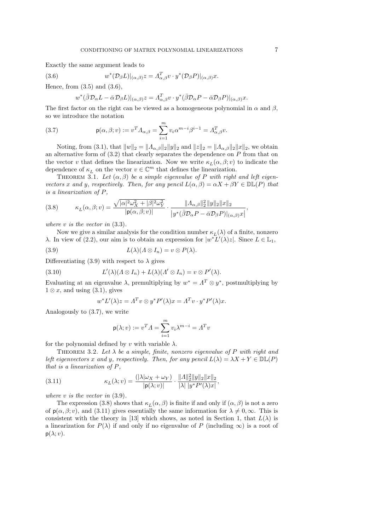Exactly the same argument leads to

(3.6) 
$$
w^*(\mathcal{D}_{\beta}L)|_{(\alpha,\beta)}z = \Lambda_{\alpha,\beta}^T v \cdot y^*(\mathcal{D}_{\beta}P)|_{(\alpha,\beta)}x.
$$

Hence, from  $(3.5)$  and  $(3.6)$ ,

 $\overline{w}$ 

$$
*(\bar{\beta}\mathcal{D}_{\alpha}L - \bar{\alpha}\mathcal{D}_{\beta}L)|_{(\alpha,\beta)}z = \Lambda_{\alpha,\beta}^T v \cdot y^*(\bar{\beta}\mathcal{D}_{\alpha}P - \bar{\alpha}\mathcal{D}_{\beta}P)|_{(\alpha,\beta)}x.
$$

The first factor on the right can be viewed as a homogeneous polynomial in  $\alpha$  and  $\beta$ , so we introduce the notation

(3.7) 
$$
\mathsf{p}(\alpha,\beta;v) := v^T \Lambda_{\alpha,\beta} = \sum_{i=1}^m v_i \alpha^{m-i} \beta^{i-1} = \Lambda_{\alpha,\beta}^T v.
$$

Noting, from (3.1), that  $||w||_2 = ||A_{\alpha,\beta}||_2 ||y||_2$  and  $||z||_2 = ||A_{\alpha,\beta}||_2 ||x||_2$ , we obtain an alternative form of  $(3.2)$  that clearly separates the dependence on  $P$  from that on the vector v that defines the linearization. Now we write  $\kappa_L(\alpha, \beta; v)$  to indicate the dependence of  $\kappa_L$  on the vector  $v \in \mathbb{C}^m$  that defines the linearization.

THEOREM 3.1. Let  $(\alpha, \beta)$  be a simple eigenvalue of P with right and left eigenvectors x and y, respectively. Then, for any pencil  $L(\alpha, \beta) = \alpha X + \beta Y \in \mathbb{DL}(P)$  that is a linearization of P,

(3.8) 
$$
\kappa_L(\alpha,\beta;v) = \frac{\sqrt{|\alpha|^2 \omega_X^2 + |\beta|^2 \omega_Y^2}}{|\mathbf{p}(\alpha,\beta;v)|} \cdot \frac{\|A_{\alpha,\beta}\|_2^2 \|y\|_2 \|x\|_2}{|y^*(\bar{\beta}\mathcal{D}_{\alpha}P - \bar{\alpha}\mathcal{D}_{\beta}P)|_{(\alpha,\beta)}x|},
$$

where  $v$  is the vector in  $(3.3)$ .

Now we give a similar analysis for the condition number  $\kappa_L(\lambda)$  of a finite, nonzero λ. In view of (2.2), our aim is to obtain an expression for  $|w^*L'(\lambda)z|$ . Since  $L \in \mathbb{L}_1$ ,

(3.9) 
$$
L(\lambda)(\Lambda \otimes I_n) = v \otimes P(\lambda).
$$

Differentiating (3.9) with respect to  $\lambda$  gives

(3.10) 
$$
L'(\lambda)(\Lambda \otimes I_n) + L(\lambda)(\Lambda' \otimes I_n) = v \otimes P'(\lambda).
$$

Evaluating at an eigenvalue  $\lambda$ , premultiplying by  $w^* = \Lambda^T \otimes y^*$ , postmultiplying by  $1 \otimes x$ , and using  $(3.1)$ , gives

$$
w^* L'(\lambda) z = \Lambda^T v \otimes y^* P'(\lambda) x = \Lambda^T v \cdot y^* P'(\lambda) x.
$$

Analogously to (3.7), we write

$$
\mathsf{p}(\lambda; v) := v^T A = \sum_{i=1}^m v_i \lambda^{m-i} = A^T v
$$

for the polynomial defined by v with variable  $\lambda$ .

THEOREM 3.2. Let  $\lambda$  be a simple, finite, nonzero eigenvalue of P with right and left eigenvectors x and y, respectively. Then, for any pencil  $L(\lambda) = \lambda X + Y \in \mathbb{DL}(P)$ that is a linearization of P,

(3.11) 
$$
\kappa_L(\lambda; v) = \frac{(|\lambda| \omega_X + \omega_Y)}{|p(\lambda; v)|} \cdot \frac{\| \Lambda \|_2^2 \| y \|_2 \| x \|_2}{|\lambda| |y^* P'(\lambda) x|},
$$

where  $v$  is the vector in  $(3.9)$ .

The expression (3.8) shows that  $\kappa_L(\alpha, \beta)$  is finite if and only if  $(\alpha, \beta)$  is not a zero of  $p(\alpha, \beta; v)$ , and (3.11) gives essentially the same information for  $\lambda \neq 0, \infty$ . This is consistent with the theory in [13] which shows, as noted in Section 1, that  $L(\lambda)$  is a linearization for  $P(\lambda)$  if and only if no eigenvalue of P (including  $\infty$ ) is a root of  $p(\lambda; v)$ .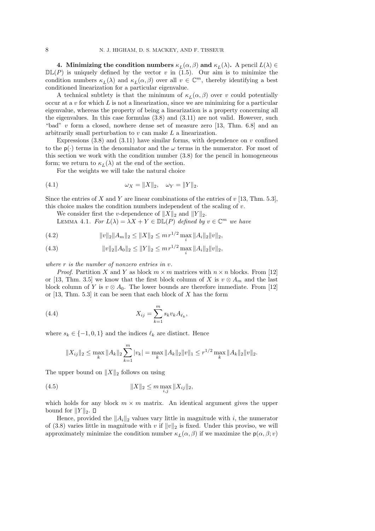**4.** Minimizing the condition numbers  $\kappa_L(\alpha, \beta)$  and  $\kappa_L(\lambda)$ . A pencil  $L(\lambda) \in$  $D\mathbb{L}(P)$  is uniquely defined by the vector v in (1.5). Our aim is to minimize the condition numbers  $\kappa_L(\lambda)$  and  $\kappa_L(\alpha, \beta)$  over all  $v \in \mathbb{C}^m$ , thereby identifying a best conditioned linearization for a particular eigenvalue.

A technical subtlety is that the minimum of  $\kappa_L(\alpha, \beta)$  over v could potentially occur at a  $v$  for which  $L$  is not a linearization, since we are minimizing for a particular eigenvalue, whereas the property of being a linearization is a property concerning all the eigenvalues. In this case formulas (3.8) and (3.11) are not valid. However, such "bad" v form a closed, nowhere dense set of measure zero [13, Thm. 6.8] and an arbitrarily small perturbation to v can make L a linearization.

Expressions  $(3.8)$  and  $(3.11)$  have similar forms, with dependence on v confined to the  $p(\cdot)$  terms in the denominator and the  $\omega$  terms in the numerator. For most of this section we work with the condition number (3.8) for the pencil in homogeneous form; we return to  $\kappa_L(\lambda)$  at the end of the section.

For the weights we will take the natural choice

(4.1) 
$$
\omega_X = ||X||_2, \quad \omega_Y = ||Y||_2.
$$

Since the entries of X and Y are linear combinations of the entries of  $v$  [13, Thm. 5.3], this choice makes the condition numbers independent of the scaling of  $v$ .

We consider first the v-dependence of  $||X||_2$  and  $||Y||_2$ .

LEMMA 4.1. For  $L(\lambda) = \lambda X + Y \in \mathbb{DL}(P)$  defined by  $v \in \mathbb{C}^m$  we have

(4.2) 
$$
||v||_2||A_m||_2 \le ||X||_2 \le m r^{1/2} \max_i ||A_i||_2 ||v||_2,
$$

(4.3) 
$$
||v||_2||A_0||_2 \le ||Y||_2 \le m r^{1/2} \max_i ||A_i||_2 ||v||_2,
$$

where  $r$  is the number of nonzero entries in  $v$ .

*Proof.* Partition X and Y as block  $m \times m$  matrices with  $n \times n$  blocks. From [12] or [13, Thm. 3.5] we know that the first block column of X is  $v \otimes A_m$  and the last block column of Y is  $v \otimes A_0$ . The lower bounds are therefore immediate. From [12] or  $[13, Thm. 5.3]$  it can be seen that each block of X has the form

(4.4) 
$$
X_{ij} = \sum_{k=1}^{m} s_k v_k A_{\ell_k},
$$

where  $s_k \in \{-1, 0, 1\}$  and the indices  $\ell_k$  are distinct. Hence

$$
||X_{ij}||_2 \le \max_k ||A_k||_2 \sum_{k=1}^m |v_k| = \max_k ||A_k||_2 ||v||_1 \le r^{1/2} \max_k ||A_k||_2 ||v||_2.
$$

The upper bound on  $||X||_2$  follows on using

(4.5) 
$$
||X||_2 \leq m \max_{i,j} ||X_{ij}||_2,
$$

which holds for any block  $m \times m$  matrix. An identical argument gives the upper bound for  $||Y||_2$ .  $\Box$ 

Hence, provided the  $||A_i||_2$  values vary little in magnitude with i, the numerator of (3.8) varies little in magnitude with v if  $||v||_2$  is fixed. Under this proviso, we will approximately minimize the condition number  $\kappa_L(\alpha, \beta)$  if we maximize the  $p(\alpha, \beta; v)$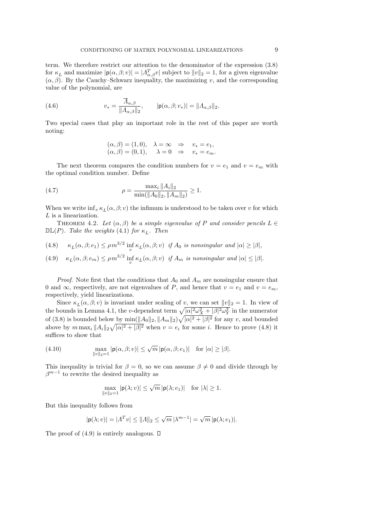term. We therefore restrict our attention to the denominator of the expression (3.8) for  $\kappa_L$  and maximize  $|\mathsf{p}(\alpha, \beta; v)| = |A_{\alpha,\beta}^T v|$  subject to  $||v||_2 = 1$ , for a given eigenvalue  $(\alpha, \beta)$ . By the Cauchy–Schwarz inequality, the maximizing v, and the corresponding value of the polynomial, are

(4.6) 
$$
v_* = \frac{\overline{\Lambda}_{\alpha,\beta}}{\|\Lambda_{\alpha,\beta}\|_2}, \qquad |\mathsf{p}(\alpha,\beta;v_*)| = \|\Lambda_{\alpha,\beta}\|_2.
$$

Two special cases that play an important role in the rest of this paper are worth noting:

$$
(\alpha, \beta) = (1, 0), \quad \lambda = \infty \quad \Rightarrow \quad v_* = e_1,
$$
  

$$
(\alpha, \beta) = (0, 1), \quad \lambda = 0 \quad \Rightarrow \quad v_* = e_m.
$$

The next theorem compares the condition numbers for  $v = e_1$  and  $v = e_m$  with the optimal condition number. Define

(4.7) 
$$
\rho = \frac{\max_{i} \|A_{i}\|_{2}}{\min(\|A_{0}\|_{2}, \|A_{m}\|_{2})} \ge 1.
$$

When we write  $\inf_v \kappa_L(\alpha, \beta; v)$  the infimum is understood to be taken over v for which L is a linearization.

THEOREM 4.2. Let  $(\alpha, \beta)$  be a simple eigenvalue of P and consider pencils  $L \in$  $\mathbb{DL}(P)$ . Take the weights (4.1) for  $\kappa_L$ . Then

(4.8) 
$$
\kappa_L(\alpha, \beta; e_1) \le \rho m^{3/2} \inf_v \kappa_L(\alpha, \beta; v) \text{ if } A_0 \text{ is nonsingular and } |\alpha| \ge |\beta|,
$$

(4.9) 
$$
\kappa_L(\alpha, \beta; e_m) \le \rho m^{3/2} \inf_v \kappa_L(\alpha, \beta; v) \text{ if } A_m \text{ is nonsingular and } |\alpha| \le |\beta|.
$$

*Proof.* Note first that the conditions that  $A_0$  and  $A_m$  are nonsingular ensure that 0 and  $\infty$ , respectively, are not eigenvalues of P, and hence that  $v = e_1$  and  $v = e_m$ , respectively, yield linearizations.

Since  $\kappa_L(\alpha, \beta; v)$  is invariant under scaling of v, we can set  $||v||_2 = 1$ . In view of the bounds in Lemma 4.1, the v-dependent term  $\sqrt{|\alpha|^2 \omega_X^2 + |\beta|^2 \omega_Y^2}$  in the numerator of (3.8) is bounded below by  $\min(\|A_0\|_2, \|A_m\|_2)\sqrt{|\alpha|^2+|\beta|^2}$  for any v, and bounded above by  $m \max_i ||A_i||_2 \sqrt{|\alpha|^2 + |\beta|^2}$  when  $v = e_i$  for some *i*. Hence to prove (4.8) it suffices to show that

(4.10) 
$$
\max_{\|v\|_2=1} |\mathsf{p}(\alpha,\beta;v)| \leq \sqrt{m} |\mathsf{p}(\alpha,\beta;e_1)| \text{ for } |\alpha| \geq |\beta|.
$$

This inequality is trivial for  $\beta = 0$ , so we can assume  $\beta \neq 0$  and divide through by  $\beta^{m-1}$  to rewrite the desired inequality as

$$
\max_{\|v\|_2=1} |\mathbf{p}(\lambda;v)| \le \sqrt{m} |\mathbf{p}(\lambda;e_1)| \quad \text{for } |\lambda| \ge 1.
$$

But this inequality follows from

$$
|\mathbf{p}(\lambda;v)| = |A^T v| \leq ||A||_2 \leq \sqrt{m} |\lambda^{m-1}| = \sqrt{m} |\mathbf{p}(\lambda;e_1)|.
$$

The proof of  $(4.9)$  is entirely analogous.  $\square$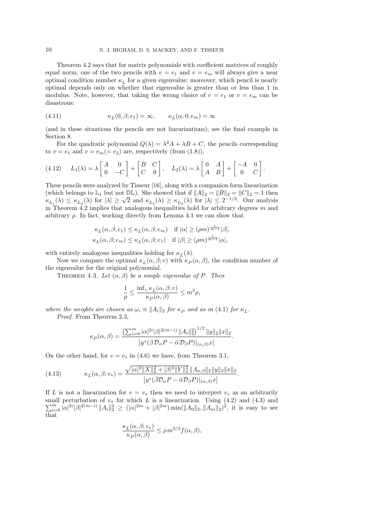Theorem 4.2 says that for matrix polynomials with coefficient matrices of roughly equal norm, one of the two pencils with  $v = e_1$  and  $v = e_m$  will always give a near optimal condition number  $\kappa_L$  for a given eigenvalue; moreover, which pencil is nearly optimal depends only on whether that eigenvalue is greater than or less than 1 in modulus. Note, however, that taking the wrong choice of  $v = e_1$  or  $v = e_m$  can be disastrous:

(4.11) 
$$
\kappa_L(0,\beta;e_1) = \infty, \qquad \kappa_L(\alpha,0;e_m) = \infty
$$

(and in these situations the pencils are not linearizations); see the final example in Section 8.

For the quadratic polynomial  $Q(\lambda) = \lambda^2 A + \lambda B + C$ , the pencils corresponding to  $v = e_1$  and  $v = e_m (= e_2)$  are, respectively (from (1.8)),

(4.12) 
$$
L_1(\lambda) = \lambda \begin{bmatrix} A & 0 \\ 0 & -C \end{bmatrix} + \begin{bmatrix} B & C \\ C & 0 \end{bmatrix}, L_2(\lambda) = \lambda \begin{bmatrix} 0 & A \\ A & B \end{bmatrix} + \begin{bmatrix} -A & 0 \\ 0 & C \end{bmatrix}.
$$

These pencils were analyzed by Tisseur [16], along with a companion form linearization (which belongs to  $\mathbb{L}_1$  but not  $\mathbb{DL}$ ). She showed that if  $||A||_2 = ||B||_2 = ||C||_2 = 1$  then (which belongs to  $\mathbb{Z}_1$ ) are like  $\mathbb{Z}_2$ ), she showed that  $\mathbb{Z}_1$   $\mathbb{Z}_1$   $\mathbb{Z}_2$   $\mathbb{Z}_2$   $\mathbb{Z}_2$   $\mathbb{Z}_2$   $\mathbb{Z}_2$   $\mathbb{Z}_2$   $\mathbb{Z}_2$   $\mathbb{Z}_2$   $\mathbb{Z}_2$   $\mathbb{Z}_2$   $\mathbb{Z}_2$   $\mathbb{Z}_2$   $\mathbb{Z}_2$   $\mathbb{$ in Theorem 4.2 implies that analogous inequalities hold for arbitrary degrees  $m$  and arbitrary  $\rho$ . In fact, working directly from Lemma 4.1 we can show that

$$
\begin{aligned} &\kappa_L(\alpha,\beta;e_1)\leq \kappa_L(\alpha,\beta;e_m) \quad \text{if}\ |\alpha|\geq (\rho m)^{\frac{1}{m-1}}|\beta|,\\ &\kappa_L(\alpha,\beta;e_m)\leq \kappa_L(\alpha,\beta;e_1) \quad \text{if}\ |\beta|\geq (\rho m)^{\frac{1}{m-1}}|\alpha|, \end{aligned}
$$

with entirely analogous inequalities holding for  $\kappa_L(\lambda)$ .

Now we compare the optimal  $\kappa_L(\alpha, \beta; v)$  with  $\kappa_P(\alpha, \beta)$ , the condition number of the eigenvalue for the original polynomial.

THEOREM 4.3. Let  $(\alpha, \beta)$  be a simple eigenvalue of P. Then

$$
\frac{1}{\rho} \leq \frac{\inf_v \kappa_L(\alpha, \beta; v)}{\kappa_P(\alpha, \beta)} \leq m^2 \rho,
$$

where the weights are chosen as  $\omega_i \equiv ||A_i||_2$  for  $\kappa_P$  and as in (4.1) for  $\kappa_L$ . Proof. From Theorem 2.3,

$$
\kappa_P(\alpha,\beta) = \frac{\left(\sum_{i=0}^m |\alpha|^{2i} |\beta|^{2(m-i)} \|A_i\|_2^2\right)^{1/2} \|y\|_2 \|x\|_2}{|y^*(\bar{\beta} \mathcal{D}_{\alpha} P - \bar{\alpha} \mathcal{D}_{\beta} P)|_{(\alpha,\beta)} x|}.
$$

On the other hand, for  $v = v_*$  in (4.6) we have, from Theorem 3.1,

(4.13) 
$$
\kappa_L(\alpha, \beta; v_*) = \frac{\sqrt{|\alpha|^2 \|X\|_2^2 + |\beta|^2 \|Y\|_2^2} \|A_{\alpha, \beta}\|_2 \|y\|_2 \|x\|_2}{|y^*(\bar{\beta} \mathcal{D}_{\alpha} P - \bar{\alpha} \mathcal{D}_{\beta} P)|_{(\alpha, \beta)} x|}.
$$

If L is not a linearization for  $v = v_*$  then we need to interpret  $v_*$  as an arbitrarily  $\sum_{i=0}^m |\alpha|^{2i} |\beta|^{2(m-i)} \|A_i\|_2^2 \geq (|\alpha|^{2m} + |\beta|^{2m}) \min(||A_0||_2, ||A_m||_2)^2$ , it is easy to see small perturbation of  $v_*$  for which L is a linearization. Using (4.2) and (4.3) and that

$$
\frac{\kappa_L(\alpha, \beta; v_*)}{\kappa_P(\alpha, \beta)} \le \rho m^{3/2} f(\alpha, \beta),
$$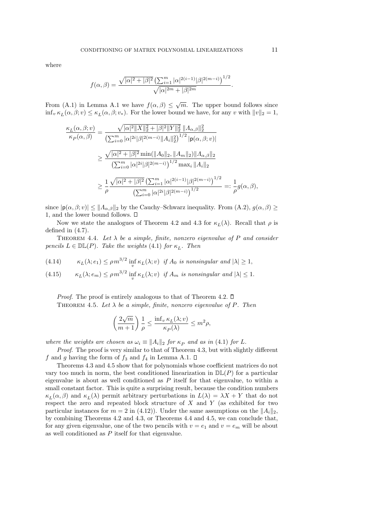where

$$
f(\alpha, \beta) = \frac{\sqrt{|\alpha|^2 + |\beta|^2} \left(\sum_{i=1}^m |\alpha|^{2(i-1)} |\beta|^{2(m-i)}\right)^{1/2}}{\sqrt{|\alpha|^{2m} + |\beta|^{2m}}}.
$$

From (A.1) in Lemma A.1 we have  $f(\alpha, \beta) \leq \sqrt{m}$ . The upper bound follows since  $\inf_v \kappa_L(\alpha, \beta; v) \leq \kappa_L(\alpha, \beta; v_*)$ . For the lower bound we have, for any v with  $||v||_2 = 1$ ,

$$
\frac{\kappa_L(\alpha,\beta;v)}{\kappa_P(\alpha,\beta)} = \frac{\sqrt{|\alpha|^2 ||X||_2^2 + |\beta|^2 ||Y||_2^2} ||A_{\alpha,\beta}||_2^2}}{\left(\sum_{i=0}^m |\alpha|^{2i} |\beta|^{2(m-i)} ||A_i||_2^2\right)^{1/2} |\mathbf{p}(\alpha,\beta;v)|}
$$
  

$$
\geq \frac{\sqrt{|\alpha|^2 + |\beta|^2} \min(||A_0||_2, ||A_m||_2) ||A_{\alpha,\beta}||_2}{\left(\sum_{i=0}^m |\alpha|^{2i} |\beta|^{2(m-i)}\right)^{1/2} \max_i ||A_i||_2}
$$
  

$$
\geq \frac{1}{\rho} \frac{\sqrt{|\alpha|^2 + |\beta|^2} \left(\sum_{i=1}^m |\alpha|^{2(i-1)} |\beta|^{2(m-i)}\right)^{1/2}}{\left(\sum_{i=0}^m |\alpha|^{2i} |\beta|^{2(m-i)}\right)^{1/2}} =: \frac{1}{\rho} g(\alpha,\beta),
$$

since  $|\mathbf{p}(\alpha,\beta; v)| \leq ||A_{\alpha,\beta}||_2$  by the Cauchy–Schwarz inequality. From  $(A.2), g(\alpha,\beta) \geq$ 1, and the lower bound follows.

Now we state the analogues of Theorem 4.2 and 4.3 for  $\kappa_L(\lambda)$ . Recall that  $\rho$  is defined in (4.7).

THEOREM 4.4. Let  $\lambda$  be a simple, finite, nonzero eigenvalue of P and consider pencils  $L \in \mathbb{DL}(P)$ . Take the weights (4.1) for  $\kappa_L$ . Then

(4.14) 
$$
\kappa_L(\lambda; e_1) \le \rho m^{3/2} \inf_v \kappa_L(\lambda; v) \text{ if } A_0 \text{ is nonsingular and } |\lambda| \ge 1,
$$

(4.15) 
$$
\kappa_L(\lambda; e_m) \le \rho m^{3/2} \inf_v \kappa_L(\lambda; v) \text{ if } A_m \text{ is nonsingular and } |\lambda| \le 1.
$$

*Proof.* The proof is entirely analogous to that of Theorem 4.2.  $\square$ THEOREM 4.5. Let  $\lambda$  be a simple, finite, nonzero eigenvalue of P. Then

$$
\left(\frac{2\sqrt{m}}{m+1}\right)\frac{1}{\rho}\leq \frac{\inf_v \kappa_L(\lambda;v)}{\kappa_P(\lambda)}\leq m^2\rho,
$$

where the weights are chosen as  $\omega_i \equiv ||A_i||_2$  for  $\kappa_P$  and as in (4.1) for L.

Proof. The proof is very similar to that of Theorem 4.3, but with slightly different f and g having the form of  $f_3$  and  $f_4$  in Lemma A.1.  $\Box$ 

Theorems 4.3 and 4.5 show that for polynomials whose coefficient matrices do not vary too much in norm, the best conditioned linearization in  $\mathbb{DL}(P)$  for a particular eigenvalue is about as well conditioned as  $P$  itself for that eigenvalue, to within a small constant factor. This is quite a surprising result, because the condition numbers  $\kappa_L(\alpha, \beta)$  and  $\kappa_L(\lambda)$  permit arbitrary perturbations in  $L(\lambda) = \lambda X + Y$  that do not respect the zero and repeated block structure of  $X$  and  $Y$  (as exhibited for two particular instances for  $m = 2$  in (4.12)). Under the same assumptions on the  $||A_i||_2$ , by combining Theorems 4.2 and 4.3, or Theorems 4.4 and 4.5, we can conclude that, for any given eigenvalue, one of the two pencils with  $v = e_1$  and  $v = e_m$  will be about as well conditioned as P itself for that eigenvalue.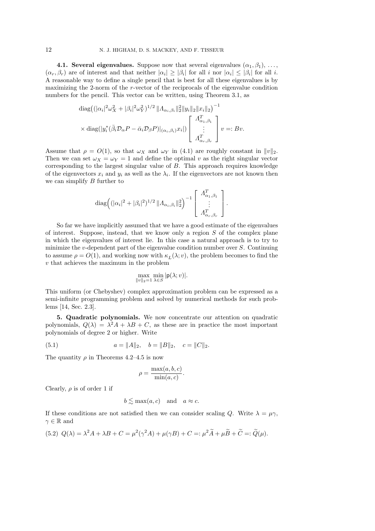**4.1. Several eigenvalues.** Suppose now that several eigenvalues  $(\alpha_1, \beta_1), \ldots,$  $(\alpha_r, \beta_r)$  are of interest and that neither  $|\alpha_i| \geq |\beta_i|$  for all i nor  $|\alpha_i| \leq |\beta_i|$  for all i. A reasonable way to define a single pencil that is best for all these eigenvalues is by maximizing the 2-norm of the r-vector of the reciprocals of the eigenvalue condition numbers for the pencil. This vector can be written, using Theorem 3.1, as

$$
\operatorname{diag}\left((|\alpha_i|^2 \omega_X^2 + |\beta_i|^2 \omega_Y^2)^{1/2} \|A_{\alpha_i, \beta_i}\|_2^2 \|y_i\|_2 \|x_i\|_2\right)^{-1}
$$
  
 
$$
\times \operatorname{diag}(|y_i^*(\bar{\beta}_i \mathcal{D}_\alpha P - \bar{\alpha}_i \mathcal{D}_\beta P)|_{(\alpha_i, \beta_i)} x_i|) \left[\begin{array}{c} A_{\alpha_1, \beta_1}^T \\ \vdots \\ A_{\alpha_r, \beta_r}^T \end{array}\right] v =: Bv.
$$

Assume that  $\rho = O(1)$ , so that  $\omega_X$  and  $\omega_Y$  in (4.1) are roughly constant in  $||v||_2$ . Then we can set  $\omega_X = \omega_Y = 1$  and define the optimal v as the right singular vector corresponding to the largest singular value of B. This approach requires knowledge of the eigenvectors  $x_i$  and  $y_i$  as well as the  $\lambda_i$ . If the eigenvectors are not known then we can simplify  $B$  further to

$$
\operatorname{diag}\left( (|\alpha_i|^2 + |\beta_i|^2)^{1/2} || A_{\alpha_i, \beta_i} ||_2^2 \right)^{-1} \left[ \begin{array}{c} A_{\alpha_1, \beta_1}^T \\ \vdots \\ A_{\alpha_r, \beta_r}^T \end{array} \right].
$$

So far we have implicitly assumed that we have a good estimate of the eigenvalues of interest. Suppose, instead, that we know only a region  $S$  of the complex plane in which the eigenvalues of interest lie. In this case a natural approach is to try to minimize the v-dependent part of the eigenvalue condition number over  $S$ . Continuing to assume  $\rho = O(1)$ , and working now with  $\kappa_L(\lambda; v)$ , the problem becomes to find the v that achieves the maximum in the problem

$$
\max_{\|v\|_2=1}\min_{\lambda\in S}|\mathsf{p}(\lambda;v)|.
$$

This uniform (or Chebyshev) complex approximation problem can be expressed as a semi-infinite programming problem and solved by numerical methods for such problems [14, Sec. 2.3].

5. Quadratic polynomials. We now concentrate our attention on quadratic polynomials,  $Q(\lambda) = \lambda^2 A + \lambda B + C$ , as these are in practice the most important polynomials of degree 2 or higher. Write

(5.1) 
$$
a = ||A||_2, \quad b = ||B||_2, \quad c = ||C||_2.
$$

The quantity  $\rho$  in Theorems 4.2–4.5 is now

$$
\rho = \frac{\max(a, b, c)}{\min(a, c)}.
$$

Clearly,  $\rho$  is of order 1 if

$$
b \lesssim \max(a, c)
$$
 and  $a \approx c$ .

If these conditions are not satisfied then we can consider scaling Q. Write  $\lambda = \mu \gamma$ ,  $\gamma \in \mathbb{R}$  and

(5.2) 
$$
Q(\lambda) = \lambda^2 A + \lambda B + C = \mu^2 (\gamma^2 A) + \mu (\gamma B) + C =: \mu^2 \widetilde{A} + \mu \widetilde{B} + \widetilde{C} =: \widetilde{Q}(\mu).
$$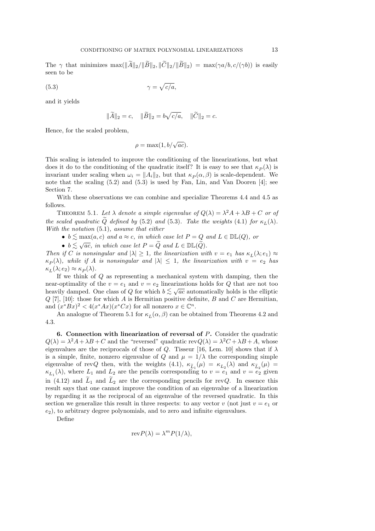The  $\gamma$  that minimizes  $\max(\|\widetilde{A}\|_2/\|\widetilde{B}\|_2, \|\widetilde{C}\|_2/\|\widetilde{B}\|_2) = \max(\gamma a/b, c/(\gamma b))$  is easily seen to be

$$
\gamma = \sqrt{c/a},
$$

and it yields

$$
\|\tilde{A}\|_2 = c
$$
,  $\|\tilde{B}\|_2 = b\sqrt{c/a}$ ,  $\|\tilde{C}\|_2 = c$ .

Hence, for the scaled problem,

$$
\rho = \max(1, b/\sqrt{ac}).
$$

This scaling is intended to improve the conditioning of the linearizations, but what does it do to the conditioning of the quadratic itself? It is easy to see that  $\kappa_P(\lambda)$  is invariant under scaling when  $\omega_i = ||A_i||_2$ , but that  $\kappa_P(\alpha, \beta)$  is scale-dependent. We note that the scaling (5.2) and (5.3) is used by Fan, Lin, and Van Dooren [4]; see Section 7.

With these observations we can combine and specialize Theorems 4.4 and 4.5 as follows.

THEOREM 5.1. Let  $\lambda$  denote a simple eigenvalue of  $Q(\lambda) = \lambda^2 A + \lambda B + C$  or of the scaled quadratic Q defined by (5.2) and (5.3). Take the weights (4.1) for  $\kappa_L(\lambda)$ . With the notation  $(5.1)$ , assume that either

- $b \lesssim \max(a, c)$  and  $a \approx c$ , in which case let  $P = Q$  and  $L \in \mathbb{DL}(Q)$ , or
- $b \lesssim \sqrt{ac}$ , in which case let  $P = \widetilde{Q}$  and  $L \in \mathbb{DL}(\widetilde{Q})$ .

Then if C is nonsingular and  $|\lambda| \geq 1$ , the linearization with  $v = e_1$  has  $\kappa_L(\lambda; e_1) \approx$  $\kappa_P(\lambda)$ , while if A is nonsingular and  $|\lambda| \leq 1$ , the linearization with  $v = e_2$  has  $\kappa_L(\lambda; e_2) \approx \kappa_P(\lambda).$ 

If we think of Q as representing a mechanical system with damping, then the near-optimality of the  $v = e_1$  and  $v = e_2$  linearizations holds for Q that are not too heavily damped. One class of Q for which  $b \lesssim \sqrt{ac}$  automatically holds is the elliptic  $\Omega$  [7] [10], these for which A is Hermitian positive definite B and  $C$  are Hermitian  $Q$  [7], [10]: those for which A is Hermitian positive definite, B and C are Hermitian, and  $(x^*Bx)^2 < 4(x^*Ax)(x^*Cx)$  for all nonzero  $x \in \mathbb{C}^n$ .

An analogue of Theorem 5.1 for  $\kappa_L(\alpha, \beta)$  can be obtained from Theorems 4.2 and 4.3.

6. Connection with linearization of reversal of  $P$ . Consider the quadratic  $Q(\lambda) = \lambda^2 A + \lambda B + C$  and the "reversed" quadratic rev $Q(\lambda) = \lambda^2 C + \lambda B + A$ , whose eigenvalues are the reciprocals of those of Q. Tisseur [16, Lem. 10] shows that if  $\lambda$ is a simple, finite, nonzero eigenvalue of Q and  $\mu = 1/\lambda$  the corresponding simple eigenvalue of revQ then, with the weights (4.1),  $\kappa_{\tilde{L}_1}(\mu) = \kappa_{L_2}(\lambda)$  and  $\kappa_{\tilde{L}_2}(\mu) =$  $\kappa_{L_1}(\lambda)$ , where  $L_1$  and  $L_2$  are the pencils corresponding to  $v = e_1$  and  $v = e_2$  given in (4.12) and  $\tilde{L}_1$  and  $\tilde{L}_2$  are the corresponding pencils for revQ. In essence this result says that one cannot improve the condition of an eigenvalue of a linearization by regarding it as the reciprocal of an eigenvalue of the reversed quadratic. In this section we generalize this result in three respects: to any vector v (not just  $v = e_1$  or  $(e_2)$ , to arbitrary degree polynomials, and to zero and infinite eigenvalues.

Define

$$
revP(\lambda) = \lambda^m P(1/\lambda),
$$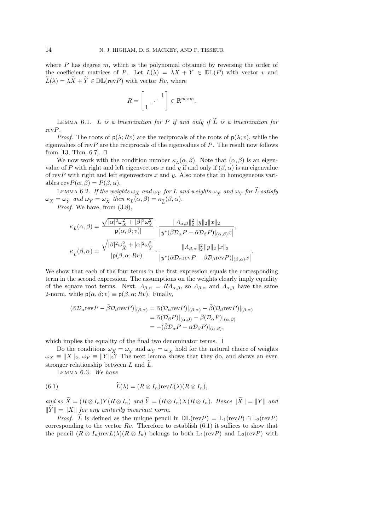where  $P$  has degree  $m$ , which is the polynomial obtained by reversing the order of the coefficient matrices of P. Let  $L(\lambda) = \lambda X + Y \in \mathbb{DL}(P)$  with vector v and  $\widetilde{L}(\lambda) = \lambda \widetilde{X} + \widetilde{Y} \in \mathbb{DL}(\text{rev}P)$  with vector  $Rv$ , where

$$
R = \begin{bmatrix} 1 & \cdots & 1 \\ 1 & \cdots & \cdots \end{bmatrix} \in \mathbb{R}^{m \times m}.
$$

LEMMA 6.1. L is a linearization for P if and only if  $\widetilde{L}$  is a linearization for revP.

*Proof.* The roots of  $p(\lambda; Rv)$  are the reciprocals of the roots of  $p(\lambda; v)$ , while the eigenvalues of rev $P$  are the reciprocals of the eigenvalues of  $P$ . The result now follows from [13, Thm. 6.7].  $\Box$ 

We now work with the condition number  $\kappa_L(\alpha, \beta)$ . Note that  $(\alpha, \beta)$  is an eigenvalue of P with right and left eigenvectors x and y if and only if  $(\beta, \alpha)$  is an eigenvalue of revP with right and left eigenvectors  $x$  and  $y$ . Also note that in homogeneous variables  $revP(\alpha, \beta) = P(\beta, \alpha)$ .

LEMMA 6.2. If the weights  $\omega_X$  and  $\omega_Y$  for L and weights  $\omega_{\tilde{X}}$  and  $\omega_{\tilde{Y}}$  for L satisfy  $\omega_X = \omega_{\tilde{Y}}$  and  $\omega_Y = \omega_{\tilde{X}}$  then  $\kappa_L(\alpha, \beta) = \kappa_{\tilde{L}}(\beta, \alpha)$ .

Proof. We have, from  $(3.8)$ ,

$$
\begin{aligned} \kappa_L(\alpha,\beta) &= \frac{\sqrt{|\alpha|^2\omega_X^2+|\beta|^2\omega_Y^2}}{|{\bf p}(\alpha,\beta;v)|}\cdot\frac{\|{\boldsymbol{\varLambda}}_{\alpha,\beta}\|_2^2\|{\boldsymbol{y}}\|_2\|{\boldsymbol{x}}\|_2}{|{\boldsymbol{y}}^*(\bar{\beta}\mathcal{D}_{\alpha}P-\bar{\alpha}\mathcal{D}_{\beta}P)|_{(\alpha,\beta)}{\boldsymbol{x}}|},\\ \kappa_{\widetilde{L}}(\beta,\alpha) &= \frac{\sqrt{|\beta|^2\omega_X^2+|\alpha|^2\omega_Y^2}}{|{\bf p}(\beta,\alpha;Rv)|}\cdot\frac{\|{\boldsymbol{\varLambda}}_{\beta,\alpha}\|_2^2\|{\boldsymbol{y}}\|_2\|{\boldsymbol{x}}\|_2}{|{\boldsymbol{y}}^*(\bar{\alpha}\mathcal{D}_{\alpha}\text{rev}P-\bar{\beta}\mathcal{D}_{\beta}\text{rev}P)|_{(\beta,\alpha)}{\boldsymbol{x}}|}. \end{aligned}
$$

We show that each of the four terms in the first expression equals the corresponding term in the second expression. The assumptions on the weights clearly imply equality of the square root terms. Next,  $A_{\beta,\alpha} = R A_{\alpha,\beta}$ , so  $A_{\beta,\alpha}$  and  $A_{\alpha,\beta}$  have the same 2-norm, while  $p(\alpha, \beta; v) \equiv p(\beta, \alpha; Rv)$ . Finally,

$$
\begin{aligned} (\bar{\alpha}\mathcal{D}_{\alpha}\text{rev}P - \bar{\beta}\mathcal{D}_{\beta}\text{rev}P)|_{(\beta,\alpha)} &= \bar{\alpha}(\mathcal{D}_{\alpha}\text{rev}P)|_{(\beta,\alpha)} - \bar{\beta}(\mathcal{D}_{\beta}\text{rev}P)|_{(\beta,\alpha)} \\ &= \bar{\alpha}(\mathcal{D}_{\beta}P)|_{(\alpha,\beta)} - \bar{\beta}(\mathcal{D}_{\alpha}P)|_{(\alpha,\beta)} \\ &= -(\bar{\beta}\mathcal{D}_{\alpha}P - \bar{\alpha}\mathcal{D}_{\beta}P)|_{(\alpha,\beta)}, \end{aligned}
$$

which implies the equality of the final two denominator terms.  $\square$ 

Do the conditions  $\omega_X = \omega_{\tilde{Y}}$  and  $\omega_Y = \omega_{\tilde{X}}$  hold for the natural choice of weights  $\omega_X \equiv ||X||_2$ ,  $\omega_Y \equiv ||Y||_2$ ? The next lemma shows that they do, and shows an even stronger relationship between  $L$  and  $L$ .

Lemma 6.3. We have

(6.1) 
$$
\widetilde{L}(\lambda) = (R \otimes I_n) \text{rev} L(\lambda) (R \otimes I_n),
$$

and so  $\widetilde{X} = (R \otimes I_n)Y(R \otimes I_n)$  and  $\widetilde{Y} = (R \otimes I_n)X(R \otimes I_n)$ . Hence  $\|\widetilde{X}\| = \|Y\|$  and  $\|\tilde{Y}\| = \|X\|$  for any unitarily invariant norm.

*Proof.*  $\tilde{L}$  is defined as the unique pencil in  $\mathbb{DL}(\text{rev}P) = \mathbb{L}_1(\text{rev}P) \cap \mathbb{L}_2(\text{rev}P)$ corresponding to the vector  $Rv$ . Therefore to establish (6.1) it suffices to show that the pencil  $(R \otimes I_n)revL(\lambda)(R \otimes I_n)$  belongs to both  $\mathbb{L}_1(revP)$  and  $\mathbb{L}_2(revP)$  with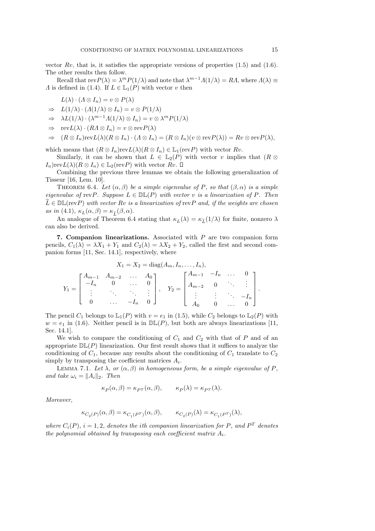vector  $Rv$ , that is, it satisfies the appropriate versions of properties  $(1.5)$  and  $(1.6)$ . The other results then follow.

Recall that  $revP(\lambda) = \lambda^m P(1/\lambda)$  and note that  $\lambda^{m-1} \Lambda(1/\lambda) = R\Lambda$ , where  $\Lambda(\lambda) \equiv$ A is defined in (1.4). If  $L \in \mathbb{L}_1(P)$  with vector v then

$$
L(\lambda) \cdot (\Lambda \otimes I_n) = v \otimes P(\lambda)
$$

$$
\Rightarrow L(1/\lambda) \cdot (A(1/\lambda) \otimes I_n) = v \otimes P(1/\lambda)
$$

- $\Rightarrow \lambda L(1/\lambda) \cdot (\lambda^{m-1} \Lambda(1/\lambda) \otimes I_n) = v \otimes \lambda^m P(1/\lambda)$
- $\Rightarrow$  rev $L(\lambda) \cdot (R\Lambda \otimes I_n) = v \otimes \text{rev}(P(\lambda))$

$$
\Rightarrow (R \otimes I_n)\mathrm{rev}\mathcal{L}(\lambda)(R \otimes I_n) \cdot (\Lambda \otimes I_n) = (R \otimes I_n)(v \otimes \mathrm{rev}\mathcal{P}(\lambda)) = Rv \otimes \mathrm{rev}\mathcal{P}(\lambda),
$$

which means that  $(R \otimes I_n)\text{rev}L(\lambda)(R \otimes I_n) \in \mathbb{L}_1(\text{rev}P)$  with vector  $Rv$ .

Similarly, it can be shown that  $L \in \mathbb{L}_2(P)$  with vector v implies that  $(R \otimes$  $I_n$ )rev $L(\lambda)(R \otimes I_n) \in \mathbb{L}_2(\text{rev}P)$  with vector  $Rv$ .  $\Box$ 

Combining the previous three lemmas we obtain the following generalization of Tisseur [16, Lem. 10].

THEOREM 6.4. Let  $(\alpha, \beta)$  be a simple eigenvalue of P, so that  $(\beta, \alpha)$  is a simple eigenvalue of revP. Suppose  $L \in \mathbb{DL}(P)$  with vector v is a linearization of P. Then  $\tilde{L} \in \mathbb{DL}(\text{rev}P)$  with vector Rv is a linearization of revP and, if the weights are chosen as in (4.1),  $\kappa_L(\alpha, \beta) = \kappa_{\tilde{L}}(\beta, \alpha)$ .

An analogue of Theorem 6.4 stating that  $\kappa_L(\lambda) = \kappa_{\tilde{L}}(1/\lambda)$  for finite, nonzero  $\lambda$ can also be derived.

7. Companion linearizations. Associated with  $P$  are two companion form pencils,  $C_1(\lambda) = \lambda X_1 + Y_1$  and  $C_2(\lambda) = \lambda X_2 + Y_2$ , called the first and second companion forms [11, Sec. 14.1], respectively, where

$$
X_1 = X_2 = \text{diag}(A_m, I_n, \dots, I_n),
$$
  
\n
$$
Y_1 = \begin{bmatrix} A_{m-1} & A_{m-2} & \cdots & A_0 \\ -I_n & 0 & \cdots & 0 \\ \vdots & \ddots & \ddots & \vdots \\ 0 & \cdots & -I_n & 0 \end{bmatrix}, \quad Y_2 = \begin{bmatrix} A_{m-1} & -I_n & \cdots & 0 \\ A_{m-2} & 0 & \ddots & \vdots \\ \vdots & \vdots & \ddots & -I_n \\ A_0 & 0 & \cdots & 0 \end{bmatrix}.
$$

The pencil  $C_1$  belongs to  $\mathbb{L}_1(P)$  with  $v = e_1$  in (1.5), while  $C_2$  belongs to  $\mathbb{L}_2(P)$  with  $w = e_1$  in (1.6). Neither pencil is in  $\mathbb{DL}(P)$ , but both are always linearizations [11, Sec. 14.1].

We wish to compare the conditioning of  $C_1$  and  $C_2$  with that of P and of an appropriate  $D\mathbb{L}(P)$  linearization. Our first result shows that it suffices to analyze the conditioning of  $C_1$ , because any results about the conditioning of  $C_1$  translate to  $C_2$ simply by transposing the coefficient matrices  $A_i$ .

LEMMA 7.1. Let  $\lambda$ , or  $(\alpha, \beta)$  in homogeneous form, be a simple eigenvalue of P, and take  $\omega_i = ||A_i||_2$ . Then

$$
\kappa_P(\alpha,\beta) = \kappa_{PT}(\alpha,\beta), \qquad \kappa_P(\lambda) = \kappa_{PT}(\lambda).
$$

Moreover,

$$
\kappa_{C_2(P)}(\alpha,\beta) = \kappa_{C_1(P^T)}(\alpha,\beta), \qquad \kappa_{C_2(P)}(\lambda) = \kappa_{C_1(P^T)}(\lambda),
$$

where  $C_i(P)$ ,  $i = 1, 2$ , denotes the ith companion linearization for P, and  $P<sup>T</sup>$  denotes the polynomial obtained by transposing each coefficient matrix  $A_i$ .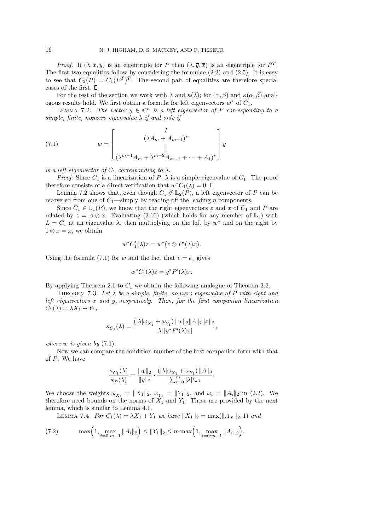*Proof.* If  $(\lambda, x, y)$  is an eigentriple for P then  $(\lambda, \overline{y}, \overline{x})$  is an eigentriple for  $P<sup>T</sup>$ . The first two equalities follow by considering the formulae (2.2) and (2.5). It is easy to see that  $C_2(P) = C_1(P^T)^T$ . The second pair of equalities are therefore special cases of the first.  $\Box$ 

For the rest of the section we work with  $\lambda$  and  $\kappa(\lambda)$ ; for  $(\alpha, \beta)$  and  $\kappa(\alpha, \beta)$  analogous results hold. We first obtain a formula for left eigenvectors  $w^*$  of  $C_1$ .

LEMMA 7.2. The vector  $y \in \mathbb{C}^n$  is a left eigenvector of P corresponding to a simple, finite, nonzero eigenvalue  $\lambda$  if and only if

(7.1) 
$$
w = \begin{bmatrix} I \\ (\lambda A_m + A_{m-1})^* \\ \vdots \\ (\lambda^{m-1} A_m + \lambda^{m-2} A_{m-1} + \dots + A_1)^* \end{bmatrix} y
$$

is a left eigenvector of  $C_1$  corresponding to  $\lambda$ .

*Proof.* Since  $C_1$  is a linearization of P,  $\lambda$  is a simple eigenvalue of  $C_1$ . The proof therefore consists of a direct verification that  $w^*C_1(\lambda) = 0$ .

Lemma 7.2 shows that, even though  $C_1 \notin \mathbb{L}_2(P)$ , a left eigenvector of P can be recovered from one of  $C_1$ —simply by reading off the leading n components.

Since  $C_1 \in L_1(P)$ , we know that the right eigenvectors z and x of  $C_1$  and P are related by  $z = \Lambda \otimes x$ . Evaluating (3.10) (which holds for any member of  $\mathbb{L}_1$ ) with  $L = C_1$  at an eigenvalue  $\lambda$ , then multiplying on the left by  $w^*$  and on the right by  $1 \otimes x = x$ , we obtain

$$
w^*C'_1(\lambda)z = w^*(v \otimes P'(\lambda)x).
$$

Using the formula (7.1) for w and the fact that  $v = e_1$  gives

$$
w^* C_1'(\lambda) z = y^* P'(\lambda) x.
$$

By applying Theorem 2.1 to  $C_1$  we obtain the following analogue of Theorem 3.2.

THEOREM 7.3. Let  $\lambda$  be a simple, finite, nonzero eigenvalue of P with right and left eigenvectors  $x$  and  $y$ , respectively. Then, for the first companion linearization  $C_1(\lambda) = \lambda X_1 + Y_1,$ 

$$
\kappa_{C_1}(\lambda) = \frac{(|\lambda|\omega_{X_1} + \omega_{Y_1}) ||w||_2 ||A||_2 ||x||_2}{|\lambda||y^* P'(\lambda)x|},
$$

where  $w$  is given by  $(7.1)$ .

Now we can compare the condition number of the first companion form with that of P. We have

$$
\frac{\kappa_{C_1}(\lambda)}{\kappa_P(\lambda)} = \frac{||w||_2}{||y||_2} \cdot \frac{(|\lambda|\omega_{X_1} + \omega_{Y_1}) ||\Lambda||_2}{\sum_{i=0}^m |\lambda|^i \omega_i}.
$$

We choose the weights  $\omega_{X_1} = ||X_1||_2$ ,  $\omega_{Y_1} = ||Y_1||_2$ , and  $\omega_i = ||A_i||_2$  in (2.2). We therefore need bounds on the norms of  $X_1$  and  $Y_1$ . These are provided by the next lemma, which is similar to Lemma 4.1.

LEMMA 7.4. For  $C_1(\lambda) = \lambda X_1 + Y_1$  we have  $||X_1||_2 = \max(||A_m||_2, 1)$  and

(7.2) 
$$
\max\left(1, \max_{i=0:m-1} \|A_i\|_2\right) \le \|Y_1\|_2 \le m \max\left(1, \max_{i=0:m-1} \|A_i\|_2\right).
$$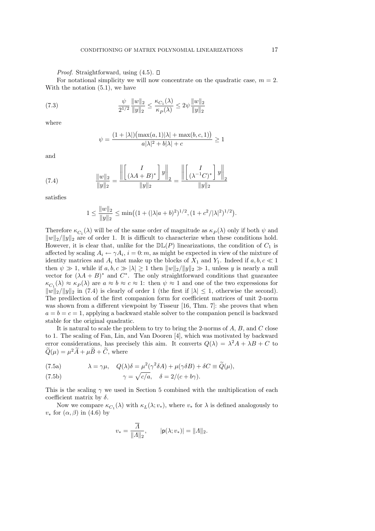*Proof.* Straightforward, using  $(4.5)$ .  $\Box$ 

For notational simplicity we will now concentrate on the quadratic case,  $m = 2$ . With the notation (5.1), we have

(7.3) 
$$
\frac{\psi}{2^{1/2}} \frac{\|w\|_2}{\|y\|_2} \le \frac{\kappa_{C_1}(\lambda)}{\kappa_P(\lambda)} \le 2\psi \frac{\|w\|_2}{\|y\|_2}
$$

where

$$
\psi = \frac{(1+|\lambda|)(\max(a,1)|\lambda| + \max(b,c,1))}{a|\lambda|^2 + b|\lambda| + c} \ge 1
$$

and

(7.4) 
$$
\frac{\|w\|_2}{\|y\|_2} = \frac{\left\| \begin{bmatrix} I \\ (\lambda A + B)^* \end{bmatrix} y \right\|_2}{\|y\|_2} = \frac{\left\| \begin{bmatrix} I \\ (\lambda^{-1}C)^* \end{bmatrix} y \right\|_2}{\|y\|_2}
$$

satisfies

$$
1 \le \frac{||w||_2}{||y||_2} \le \min\big( (1 + (|\lambda|a+b)^2)^{1/2}, (1 + c^2/|\lambda|^2)^{1/2} \big).
$$

Therefore  $\kappa_{C_1}(\lambda)$  will be of the same order of magnitude as  $\kappa_P(\lambda)$  only if both  $\psi$  and  $||w||_2/||y||_2$  are of order 1. It is difficult to characterize when these conditions hold. However, it is clear that, unlike for the  $\mathbb{DL}(P)$  linearizations, the condition of  $C_1$  is affected by scaling  $A_i \leftarrow \gamma A_i$ ,  $i = 0$ : m, as might be expected in view of the mixture of identity matrices and  $A_i$  that make up the blocks of  $X_1$  and  $Y_1$ . Indeed if  $a, b, c \ll 1$ then  $\psi \gg 1$ , while if  $a, b, c \gg |\lambda| \geq 1$  then  $||w||_2/||y||_2 \gg 1$ , unless y is nearly a null vector for  $(\lambda A + B)^*$  and  $C^*$ . The only straightforward conditions that guarantee  $\kappa_{C_1}(\lambda) \approx \kappa_P(\lambda)$  are  $a \approx b \approx c \approx 1$ : then  $\psi \approx 1$  and one of the two expressions for  $||w||_2/||y||_2$  in (7.4) is clearly of order 1 (the first if  $|\lambda| \leq 1$ , otherwise the second). The predilection of the first companion form for coefficient matrices of unit 2-norm was shown from a different viewpoint by Tisseur [16, Thm. 7]: she proves that when  $a = b = c = 1$ , applying a backward stable solver to the companion pencil is backward stable for the original quadratic.

It is natural to scale the problem to try to bring the 2-norms of  $A, B$ , and  $C$  close to 1. The scaling of Fan, Lin, and Van Dooren [4], which was motivated by backward error considerations, has precisely this aim. It converts  $Q(\lambda) = \lambda^2 A + \lambda B + C$  to  $\ddot{Q}(\mu) = \mu^2 \ddot{A} + \mu \ddot{B} + \ddot{C}$ , where

(7.5a) 
$$
\lambda = \gamma \mu, \quad Q(\lambda)\delta = \mu^2(\gamma^2 \delta A) + \mu(\gamma \delta B) + \delta C \equiv \widetilde{Q}(\mu),
$$

(7.5b) 
$$
\gamma = \sqrt{c/a}, \quad \delta = 2/(c+b\gamma).
$$

This is the scaling  $\gamma$  we used in Section 5 combined with the multiplication of each coefficient matrix by  $\delta$ .

Now we compare  $\kappa_{C_1}(\lambda)$  with  $\kappa_L(\lambda; v_*),$  where  $v_*$  for  $\lambda$  is defined analogously to  $v_*$  for  $(\alpha, \beta)$  in (4.6) by

$$
v_* = \frac{\overline{A}}{\|A\|_2}
$$
,  $|p(\lambda; v_*)| = \|A\|_2$ .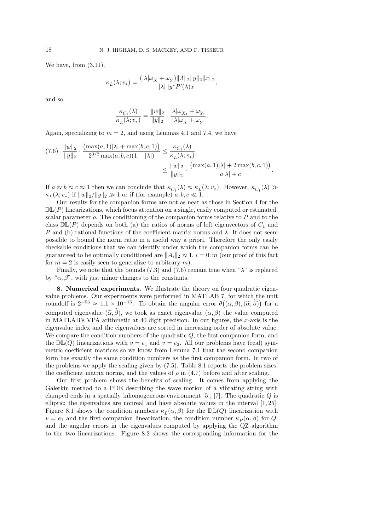We have, from (3.11),

$$
\kappa_L(\lambda; v_*) = \frac{(|\lambda|\omega_X + \omega_Y)||\Lambda||_2||y||_2||x||_2}{|\lambda||y^*P'(\lambda)x|},
$$

and so

$$
\frac{\kappa_{C_1}(\lambda)}{\kappa_L(\lambda; v_*)} = \frac{\|w\|_2}{\|y\|_2} \cdot \frac{|\lambda|\omega_{X_1} + \omega_{Y_1}}{|\lambda|\omega_X + \omega_Y}.
$$

Again, specializing to  $m = 2$ , and using Lemmas 4.1 and 7.4, we have

$$
(7.6) \frac{\|w\|_2}{\|y\|_2} \cdot \frac{\left(\max(a,1)|\lambda| + \max(b,c,1)\right)}{2^{3/2}\max(a,b,c)(1+|\lambda|)} \le \frac{\kappa_{C_1}(\lambda)}{\kappa_L(\lambda;v_*)} \le \frac{\|w\|_2}{\|y\|_2} \cdot \frac{\left(\max(a,1)|\lambda| + 2\max(b,c,1)\right)}{a|\lambda| + c}.
$$

If  $a \approx b \approx c \approx 1$  then we can conclude that  $\kappa_{C_1}(\lambda) \approx \kappa_L(\lambda; v_*)$ . However,  $\kappa_{C_1}(\lambda) \gg$  $\kappa_L(\lambda; v_*)$  if  $||w||_2/||y||_2 \gg 1$  or if (for example)  $a, b, c \ll 1$ .

Our results for the companion forms are not as neat as those in Section 4 for the  $D\mathbb{L}(P)$  linearizations, which focus attention on a single, easily computed or estimated, scalar parameter  $\rho$ . The conditioning of the companion forms relative to P and to the class  $\mathbb{DL}(P)$  depends on both (a) the ratios of norms of left eigenvectors of  $C_1$  and P and (b) rational functions of the coefficient matrix norms and  $\lambda$ . It does not seem possible to bound the norm ratio in a useful way a priori. Therefore the only easily checkable conditions that we can identify under which the companion forms can be guaranteed to be optimally conditioned are  $||A_i||_2 \approx 1$ ,  $i = 0$ : m (our proof of this fact for  $m = 2$  is easily seen to generalize to arbitrary m).

Finally, we note that the bounds (7.3) and (7.6) remain true when " $\lambda$ " is replaced by " $\alpha$ ,  $\beta$ ", with just minor changes to the constants.

8. Numerical experiments. We illustrate the theory on four quadratic eigenvalue problems. Our experiments were performed in MATLAB 7, for which the unit roundoff is  $2^{-53} \approx 1.1 \times 10^{-16}$ . To obtain the angular error  $\theta((\alpha, \beta), (\tilde{\alpha}, \tilde{\beta}))$  for a computed eigenvalue  $(\tilde{\alpha}, \tilde{\beta})$ , we took as exact eigenvalue  $(\alpha, \beta)$  the value computed in MATLAB's VPA arithmetic at 40 digit precision. In our figures, the  $x$ -axis is the eigenvalue index and the eigenvalues are sorted in increasing order of absolute value. We compare the condition numbers of the quadratic  $Q$ , the first companion form, and the  $\mathbb{DL}(Q)$  linearizations with  $v = e_1$  and  $v = e_2$ . All our problems have (real) symmetric coefficient matrices so we know from Lemma 7.1 that the second companion form has exactly the same condition numbers as the first companion form. In two of the problems we apply the scaling given by (7.5). Table 8.1 reports the problem sizes, the coefficient matrix norms, and the values of  $\rho$  in (4.7) before and after scaling.

Our first problem shows the benefits of scaling. It comes from applying the Galerkin method to a PDE describing the wave motion of a vibrating string with clamped ends in a spatially inhomogeneous environment [5], [7]. The quadratic  $Q$  is elliptic; the eigenvalues are nonreal and have absolute values in the interval [1, 25]. Figure 8.1 shows the condition numbers  $\kappa_L(\alpha, \beta)$  for the  $\mathbb{DL}(Q)$  linearization with  $v = e_1$  and the first companion linearization, the condition number  $\kappa_P(\alpha, \beta)$  for  $Q$ , and the angular errors in the eigenvalues computed by applying the QZ algorithm to the two linearizations. Figure 8.2 shows the corresponding information for the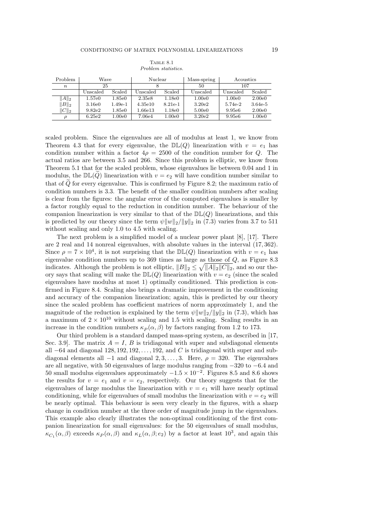|                  |                |                     |                | Problem statistics. |             |           |           |
|------------------|----------------|---------------------|----------------|---------------------|-------------|-----------|-----------|
| Problem          | Wave           |                     | Nuclear        |                     | Mass-spring | Acoustics |           |
| $\boldsymbol{n}$ | 25             |                     |                |                     | 50          | 107       |           |
|                  | $\rm Unscaled$ | Scaled              | $\rm Unscaled$ | Scaled              | Unscaled    | Unscaled  | Scaled    |
| $  A  _2$        | 1.57e0         | $1.85\mathrm{e}{0}$ | 2.35e8         | 1.18e0              | 1.00e0      | 1.00e0    | 2.00e0    |
| $\ B\ _2$        | 3.16e0         | $1.49e-1$           | 4.35e10        | $8.21e-1$           | 3.20e2      | $5.74e-2$ | $3.64e-5$ |

TABLE 8.1

 $\|C\|_2$  | 9.82e2 1.85e0 | 1.66e13 1.18e0 | 5.00e0 | 9.95e6 2.00e0  $\rho$  | 6.25e2 1.00e0 | 7.06e4 1.00e0 | 3.20e2 | 9.95e6 1.00e0

scaled problem. Since the eigenvalues are all of modulus at least 1, we know from Theorem 4.3 that for every eigenvalue, the  $D\mathbb{L}(Q)$  linearization with  $v = e_1$  has condition number within a factor  $4\rho = 2500$  of the condition number for Q. The actual ratios are between 3.5 and 266. Since this problem is elliptic, we know from Theorem 5.1 that for the scaled problem, whose eigenvalues lie between 0.04 and 1 in modulus, the  $\mathbb{DL}(\tilde{Q})$  linearization with  $v = e_2$  will have condition number similar to that of  $\tilde{Q}$  for every eigenvalue. This is confirmed by Figure 8.2; the maximum ratio of condition numbers is 3.3. The benefit of the smaller condition numbers after scaling is clear from the figures: the angular error of the computed eigenvalues is smaller by a factor roughly equal to the reduction in condition number. The behaviour of the companion linearization is very similar to that of the  $D\mathbb{L}(Q)$  linearizations, and this is predicted by our theory since the term  $\psi \|w\|_2/\|y\|_2$  in (7.3) varies from 3.7 to 511 without scaling and only 1.0 to 4.5 with scaling.

The next problem is a simplified model of a nuclear power plant [8], [17]. There are 2 real and 14 nonreal eigenvalues, with absolute values in the interval (17, 362). Since  $\rho = 7 \times 10^4$ , it is not surprising that the  $D\mathbb{L}(Q)$  linearization with  $v = e_1$  has eigenvalue condition numbers up to  $369$  times as large as those of  $Q$ , as Figure 8.3 indicates. Although the problem is not elliptic,  $||B||_2 \le \sqrt{||A||_2||C||_2}$ , and so our theory says that scaling will make the  $D\mathbb{L}(Q)$  linearization with  $v = e_2$  (since the scaled eigenvalues have modulus at most 1) optimally conditioned. This prediction is confirmed in Figure 8.4. Scaling also brings a dramatic improvement in the conditioning and accuracy of the companion linearization; again, this is predicted by our theory since the scaled problem has coefficient matrices of norm approximately 1, and the magnitude of the reduction is explained by the term  $\psi||w||_2/||y||_2$  in (7.3), which has a maximum of  $2 \times 10^{10}$  without scaling and 1.5 with scaling. Scaling results in an increase in the condition numbers  $\kappa_P(\alpha, \beta)$  by factors ranging from 1.2 to 173.

Our third problem is a standard damped mass-spring system, as described in [17, Sec. 3.9. The matrix  $A = I$ , B is tridiagonal with super and subdiagonal elements all  $-64$  and diagonal  $128, 192, 192, \ldots, 192$ , and C is tridiagonal with super and subdiagonal elements all  $-1$  and diagonal  $2, 3, \ldots, 3$ . Here,  $\rho = 320$ . The eigenvalues are all negative, with 50 eigenvalues of large modulus ranging from −320 to −6.4 and 50 small modulus eigenvalues approximately  $-1.5 \times 10^{-2}$ . Figures 8.5 and 8.6 shows the results for  $v = e_1$  and  $v = e_2$ , respectively. Our theory suggests that for the eigenvalues of large modulus the linearization with  $v = e_1$  will have nearly optimal conditioning, while for eigenvalues of small modulus the linearization with  $v = e_2$  will be nearly optimal. This behaviour is seen very clearly in the figures, with a sharp change in condition number at the three order of magnitude jump in the eigenvalues. This example also clearly illustrates the non-optimal conditioning of the first companion linearization for small eigenvalues: for the 50 eigenvalues of small modulus,  $\kappa_{C_1}(\alpha,\beta)$  exceeds  $\kappa_P(\alpha,\beta)$  and  $\kappa_L(\alpha,\beta;e_2)$  by a factor at least  $10^3$ , and again this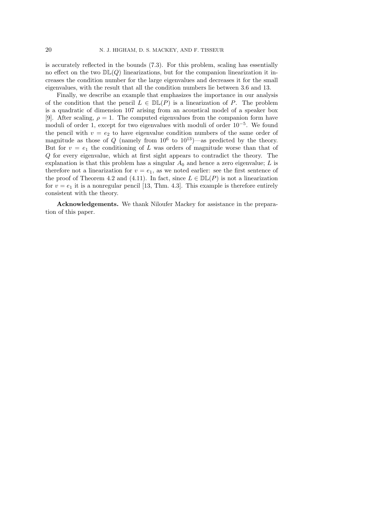is accurately reflected in the bounds (7.3). For this problem, scaling has essentially no effect on the two  $D\mathbb{L}(Q)$  linearizations, but for the companion linearization it increases the condition number for the large eigenvalues and decreases it for the small eigenvalues, with the result that all the condition numbers lie between 3.6 and 13.

Finally, we describe an example that emphasizes the importance in our analysis of the condition that the pencil  $L \in \mathbb{DL}(P)$  is a linearization of P. The problem is a quadratic of dimension 107 arising from an acoustical model of a speaker box [9]. After scaling,  $\rho = 1$ . The computed eigenvalues from the companion form have moduli of order 1, except for two eigenvalues with moduli of order 10<sup>−</sup><sup>5</sup> . We found the pencil with  $v = e_2$  to have eigenvalue condition numbers of the same order of magnitude as those of Q (namely from  $10^6$  to  $10^{13}$ )—as predicted by the theory. But for  $v = e_1$  the conditioning of L was orders of magnitude worse than that of Q for every eigenvalue, which at first sight appears to contradict the theory. The explanation is that this problem has a singular  $A_0$  and hence a zero eigenvalue; L is therefore not a linearization for  $v = e_1$ , as we noted earlier: see the first sentence of the proof of Theorem 4.2 and (4.11). In fact, since  $L \in \mathbb{DL}(P)$  is not a linearization for  $v = e_1$  it is a nonregular pencil [13, Thm. 4.3]. This example is therefore entirely consistent with the theory.

Acknowledgements. We thank Niloufer Mackey for assistance in the preparation of this paper.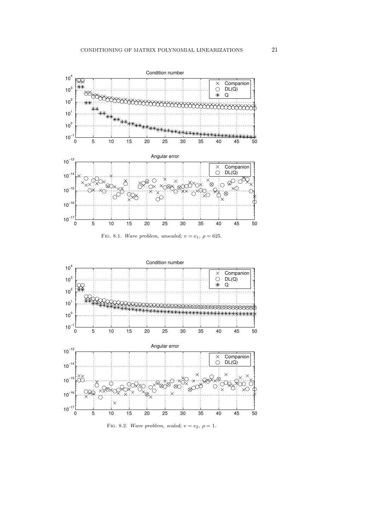





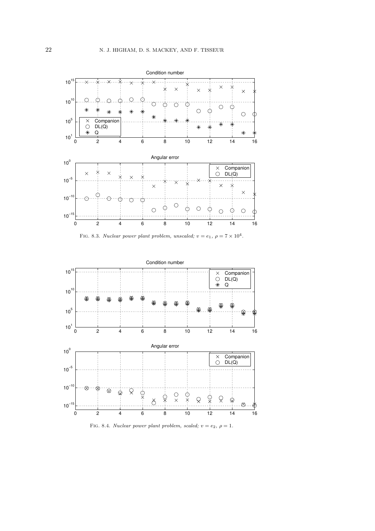





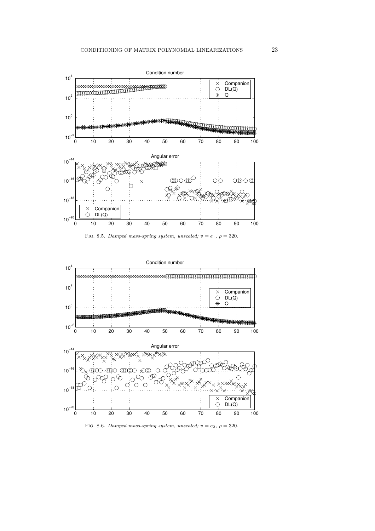

FIG. 8.5. Damped mass-spring system, unscaled;  $v = e_1$ ,  $\rho = 320$ .



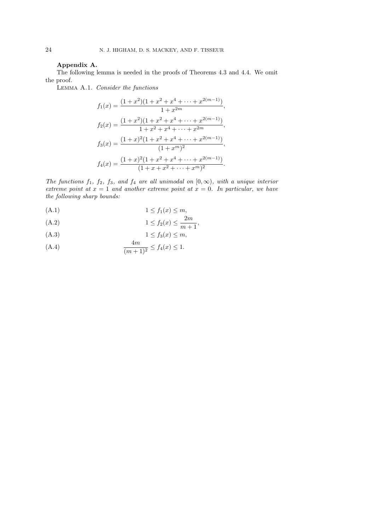### Appendix A.

The following lemma is needed in the proofs of Theorems 4.3 and 4.4. We omit the proof.

Lemma A.1. Consider the functions

$$
f_1(x) = \frac{(1+x^2)(1+x^2+x^4+\cdots+x^{2(m-1)})}{1+x^{2m}},
$$
  
\n
$$
f_2(x) = \frac{(1+x^2)(1+x^2+x^4+\cdots+x^{2(m-1)})}{1+x^2+x^4+\cdots+x^{2m}},
$$
  
\n
$$
f_3(x) = \frac{(1+x)^2(1+x^2+x^4+\cdots+x^{2(m-1)})}{(1+x^m)^2},
$$
  
\n
$$
f_4(x) = \frac{(1+x)^2(1+x^2+x^4+\cdots+x^{2(m-1)})}{(1+x+x^2+\cdots+x^m)^2}.
$$

The functions  $f_1$ ,  $f_2$ ,  $f_3$ , and  $f_4$  are all unimodal on  $[0, \infty)$ , with a unique interior extreme point at  $x = 1$  and another extreme point at  $x = 0$ . In particular, we have the following sharp bounds:

$$
(A.1) \t\t\t 1 \le f_1(x) \le m,
$$

(A.2) 
$$
1 \le f_2(x) \le \frac{2m}{m+1},
$$

$$
(A.3) \t\t 1 \le f_3(x) \le m,
$$
  
 
$$
4m
$$

(A.4) 
$$
\frac{4m}{(m+1)^2} \le f_4(x) \le 1.
$$